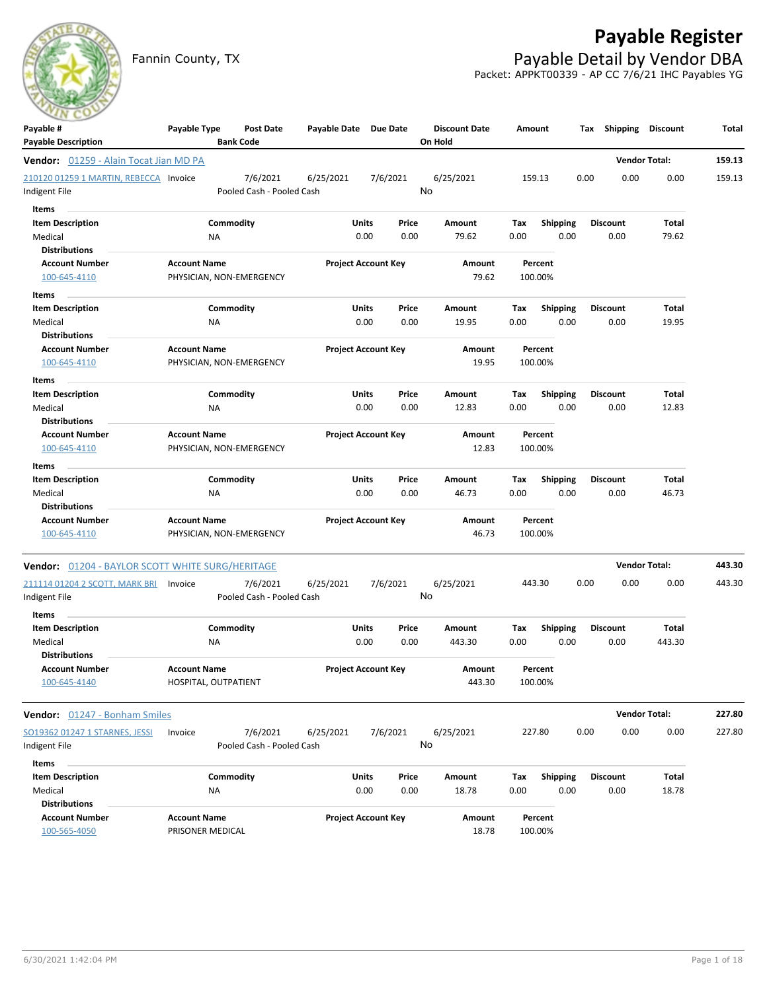# **Payable Register**

Fannin County, TX **Payable Detail by Vendor DBA** Packet: APPKT00339 - AP CC 7/6/21 IHC Payables YG

| Payable #                                               | Payable Type         | Post Date                             | Payable Date Due Date |                            | <b>Discount Date</b> | Amount      |                         | Tax Shipping    | Discount             | Total  |
|---------------------------------------------------------|----------------------|---------------------------------------|-----------------------|----------------------------|----------------------|-------------|-------------------------|-----------------|----------------------|--------|
| <b>Payable Description</b>                              |                      | <b>Bank Code</b>                      |                       |                            | On Hold              |             |                         |                 |                      |        |
| Vendor: 01259 - Alain Tocat Jian MD PA                  |                      |                                       |                       |                            |                      |             |                         |                 | <b>Vendor Total:</b> | 159.13 |
| 210120 01259 1 MARTIN, REBECCA Invoice<br>Indigent File |                      | 7/6/2021<br>Pooled Cash - Pooled Cash | 6/25/2021             | 7/6/2021                   | 6/25/2021<br>No      |             | 159.13                  | 0.00<br>0.00    | 0.00                 | 159.13 |
|                                                         |                      |                                       |                       |                            |                      |             |                         |                 |                      |        |
| Items                                                   |                      | Commodity                             | Units                 | Price                      |                      |             |                         | <b>Discount</b> | <b>Total</b>         |        |
| <b>Item Description</b><br>Medical                      | <b>NA</b>            |                                       |                       | 0.00<br>0.00               | Amount<br>79.62      | Tax<br>0.00 | <b>Shipping</b><br>0.00 | 0.00            | 79.62                |        |
| <b>Distributions</b>                                    |                      |                                       |                       |                            |                      |             |                         |                 |                      |        |
| <b>Account Number</b>                                   | <b>Account Name</b>  |                                       |                       | <b>Project Account Key</b> | Amount               |             | Percent                 |                 |                      |        |
| 100-645-4110                                            |                      | PHYSICIAN, NON-EMERGENCY              |                       |                            | 79.62                |             | 100.00%                 |                 |                      |        |
| Items                                                   |                      |                                       |                       |                            |                      |             |                         |                 |                      |        |
| <b>Item Description</b>                                 |                      | Commodity                             | Units                 | Price                      | Amount               | Tax         | <b>Shipping</b>         | <b>Discount</b> | Total                |        |
| Medical                                                 | <b>NA</b>            |                                       |                       | 0.00<br>0.00               | 19.95                | 0.00        | 0.00                    | 0.00            | 19.95                |        |
| <b>Distributions</b>                                    |                      |                                       |                       |                            |                      |             |                         |                 |                      |        |
| <b>Account Number</b>                                   | <b>Account Name</b>  |                                       |                       | <b>Project Account Key</b> | Amount               |             | Percent                 |                 |                      |        |
| 100-645-4110                                            |                      | PHYSICIAN, NON-EMERGENCY              |                       |                            | 19.95                |             | 100.00%                 |                 |                      |        |
| Items                                                   |                      |                                       |                       |                            |                      |             |                         |                 |                      |        |
| <b>Item Description</b>                                 |                      | Commodity                             | Units                 | Price                      | Amount               | Tax         | <b>Shipping</b>         | <b>Discount</b> | Total                |        |
| Medical                                                 | ΝA                   |                                       |                       | 0.00<br>0.00               | 12.83                | 0.00        | 0.00                    | 0.00            | 12.83                |        |
| <b>Distributions</b>                                    |                      |                                       |                       |                            |                      |             |                         |                 |                      |        |
| <b>Account Number</b>                                   | <b>Account Name</b>  |                                       |                       | <b>Project Account Key</b> | Amount               |             | Percent                 |                 |                      |        |
| 100-645-4110                                            |                      | PHYSICIAN, NON-EMERGENCY              |                       |                            | 12.83                |             | 100.00%                 |                 |                      |        |
| Items                                                   |                      |                                       |                       |                            |                      |             |                         |                 |                      |        |
| <b>Item Description</b>                                 |                      | Commodity                             | Units                 | Price                      | Amount               | Tax         | <b>Shipping</b>         | <b>Discount</b> | Total                |        |
| Medical                                                 | ΝA                   |                                       |                       | 0.00<br>0.00               | 46.73                | 0.00        | 0.00                    | 0.00            | 46.73                |        |
| <b>Distributions</b>                                    |                      |                                       |                       |                            |                      |             |                         |                 |                      |        |
| <b>Account Number</b><br>100-645-4110                   | <b>Account Name</b>  |                                       |                       | <b>Project Account Key</b> | Amount<br>46.73      |             | Percent<br>100.00%      |                 |                      |        |
|                                                         |                      | PHYSICIAN, NON-EMERGENCY              |                       |                            |                      |             |                         |                 |                      |        |
| <b>Vendor:</b> 01204 - BAYLOR SCOTT WHITE SURG/HERITAGE |                      |                                       |                       |                            |                      |             |                         |                 | <b>Vendor Total:</b> | 443.30 |
| 211114 01204 2 SCOTT, MARK BRI                          | Invoice              | 7/6/2021                              | 6/25/2021             | 7/6/2021                   | 6/25/2021            |             | 443.30                  | 0.00<br>0.00    | 0.00                 | 443.30 |
| Indigent File                                           |                      | Pooled Cash - Pooled Cash             |                       |                            | No                   |             |                         |                 |                      |        |
| Items                                                   |                      |                                       |                       |                            |                      |             |                         |                 |                      |        |
| <b>Item Description</b>                                 |                      | Commodity                             | Units                 | Price                      | Amount               | Tax         | <b>Shipping</b>         | <b>Discount</b> | Total                |        |
| Medical                                                 | <b>NA</b>            |                                       |                       | 0.00<br>0.00               | 443.30               | 0.00        | 0.00                    | 0.00            | 443.30               |        |
| <b>Distributions</b>                                    |                      |                                       |                       |                            |                      |             |                         |                 |                      |        |
| <b>Account Number</b>                                   | <b>Account Name</b>  |                                       |                       | <b>Project Account Key</b> | Amount               |             | Percent                 |                 |                      |        |
| 100-645-4140                                            | HOSPITAL, OUTPATIENT |                                       |                       |                            | 443.30               |             | 100.00%                 |                 |                      |        |
| Vendor: 01247 - Bonham Smiles                           |                      |                                       |                       |                            |                      |             |                         |                 | <b>Vendor Total:</b> | 227.80 |
| SO19362 01247 1 STARNES, JESSI                          | Invoice              | 7/6/2021                              | 6/25/2021             | 7/6/2021                   | 6/25/2021            |             | 227.80                  | 0.00<br>0.00    | 0.00                 | 227.80 |
| Indigent File                                           |                      | Pooled Cash - Pooled Cash             |                       |                            | No                   |             |                         |                 |                      |        |
| Items                                                   |                      |                                       |                       |                            |                      |             |                         |                 |                      |        |
| <b>Item Description</b>                                 |                      | Commodity                             | <b>Units</b>          | Price                      | Amount               | Tax         | <b>Shipping</b>         | <b>Discount</b> | Total                |        |
| Medical                                                 | <b>NA</b>            |                                       |                       | 0.00<br>0.00               | 18.78                | 0.00        | 0.00                    | 0.00            | 18.78                |        |
| <b>Distributions</b>                                    |                      |                                       |                       |                            |                      |             |                         |                 |                      |        |
| <b>Account Number</b>                                   | <b>Account Name</b>  |                                       |                       | <b>Project Account Key</b> | Amount               |             | Percent                 |                 |                      |        |
| 100-565-4050                                            | PRISONER MEDICAL     |                                       |                       |                            | 18.78                |             | 100.00%                 |                 |                      |        |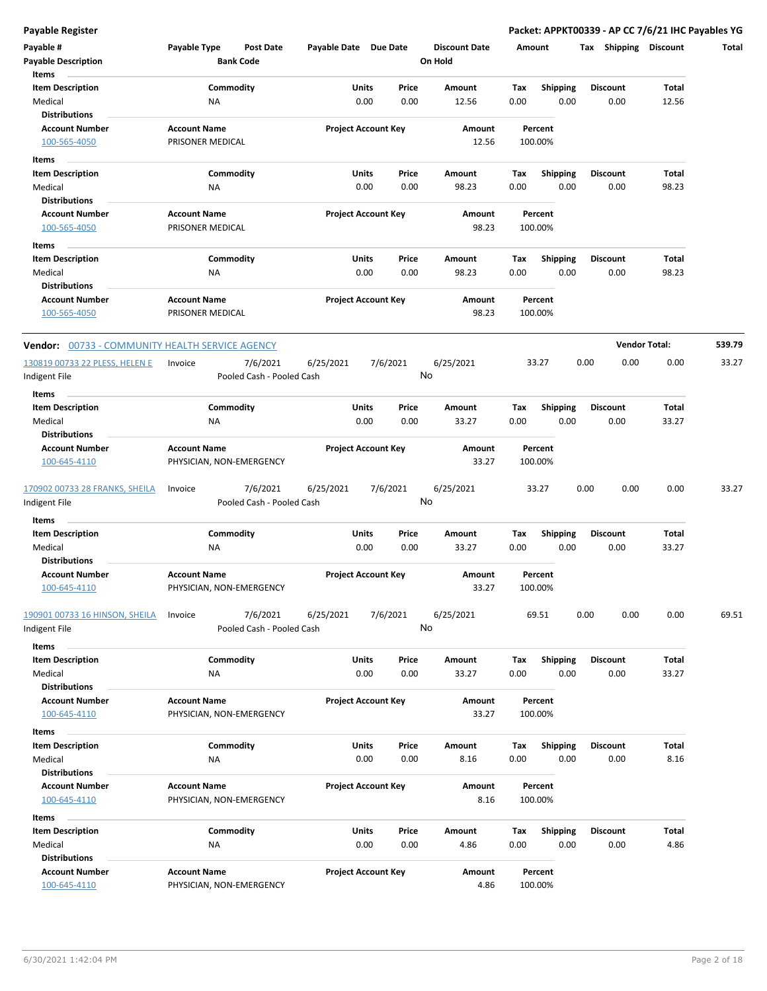| Payable #<br><b>Payable Description</b><br>Items | Payable Type                                    | <b>Post Date</b><br><b>Bank Code</b>  | Payable Date Due Date |                            | <b>Discount Date</b><br>On Hold |      | Amount             | Tax<br>Shipping | <b>Discount</b>      | Total  |
|--------------------------------------------------|-------------------------------------------------|---------------------------------------|-----------------------|----------------------------|---------------------------------|------|--------------------|-----------------|----------------------|--------|
| <b>Item Description</b>                          |                                                 | Commodity                             | Units                 | Price                      | Amount                          | Tax  | Shipping           | <b>Discount</b> | Total                |        |
| Medical                                          | <b>NA</b>                                       |                                       |                       | 0.00<br>0.00               | 12.56                           | 0.00 | 0.00               | 0.00            | 12.56                |        |
| <b>Distributions</b>                             |                                                 |                                       |                       |                            |                                 |      |                    |                 |                      |        |
| <b>Account Number</b>                            | <b>Account Name</b>                             |                                       |                       | <b>Project Account Key</b> | Amount                          |      | Percent            |                 |                      |        |
| 100-565-4050                                     | PRISONER MEDICAL                                |                                       |                       |                            | 12.56                           |      | 100.00%            |                 |                      |        |
|                                                  |                                                 |                                       |                       |                            |                                 |      |                    |                 |                      |        |
| Items                                            |                                                 |                                       |                       |                            |                                 |      |                    |                 |                      |        |
| <b>Item Description</b>                          |                                                 | Commodity                             | Units                 | Price                      | Amount                          | Tax  | <b>Shipping</b>    | <b>Discount</b> | Total                |        |
| Medical                                          | NA                                              |                                       |                       | 0.00<br>0.00               | 98.23                           | 0.00 | 0.00               | 0.00            | 98.23                |        |
| <b>Distributions</b>                             |                                                 |                                       |                       |                            |                                 |      |                    |                 |                      |        |
| <b>Account Number</b>                            | <b>Account Name</b>                             |                                       |                       | <b>Project Account Key</b> | Amount                          |      | Percent            |                 |                      |        |
| 100-565-4050                                     | PRISONER MEDICAL                                |                                       |                       |                            | 98.23                           |      | 100.00%            |                 |                      |        |
| Items                                            |                                                 |                                       |                       |                            |                                 |      |                    |                 |                      |        |
| <b>Item Description</b>                          |                                                 | Commodity                             | Units                 | Price                      | Amount                          | Tax  | <b>Shipping</b>    | <b>Discount</b> | Total                |        |
| Medical                                          | ΝA                                              |                                       |                       | 0.00<br>0.00               | 98.23                           | 0.00 | 0.00               | 0.00            | 98.23                |        |
| <b>Distributions</b>                             |                                                 |                                       |                       |                            |                                 |      |                    |                 |                      |        |
| <b>Account Number</b>                            | <b>Account Name</b>                             |                                       |                       | <b>Project Account Key</b> | Amount                          |      | Percent            |                 |                      |        |
| 100-565-4050                                     | PRISONER MEDICAL                                |                                       |                       |                            | 98.23                           |      | 100.00%            |                 |                      |        |
| Vendor: 00733 - COMMUNITY HEALTH SERVICE AGENCY  |                                                 |                                       |                       |                            |                                 |      |                    |                 | <b>Vendor Total:</b> | 539.79 |
| 130819 00733 22 PLESS, HELEN E                   | Invoice                                         | 7/6/2021                              | 6/25/2021             | 7/6/2021                   | 6/25/2021                       |      | 33.27              | 0.00<br>0.00    | 0.00                 | 33.27  |
| Indigent File                                    |                                                 | Pooled Cash - Pooled Cash             |                       |                            | No                              |      |                    |                 |                      |        |
| Items                                            |                                                 |                                       |                       |                            |                                 |      |                    |                 |                      |        |
| <b>Item Description</b>                          |                                                 | Commodity                             | Units                 | Price                      | Amount                          | Tax  | <b>Shipping</b>    | <b>Discount</b> | Total                |        |
| Medical                                          | NA                                              |                                       |                       | 0.00<br>0.00               | 33.27                           | 0.00 | 0.00               | 0.00            | 33.27                |        |
| <b>Distributions</b>                             |                                                 |                                       |                       |                            |                                 |      |                    |                 |                      |        |
|                                                  |                                                 |                                       |                       |                            |                                 |      |                    |                 |                      |        |
| <b>Account Number</b><br>100-645-4110            | <b>Account Name</b><br>PHYSICIAN, NON-EMERGENCY |                                       |                       | <b>Project Account Key</b> | Amount<br>33.27                 |      | Percent<br>100.00% |                 |                      |        |
| 170902 00733 28 FRANKS, SHEILA<br>Indigent File  | Invoice                                         | 7/6/2021<br>Pooled Cash - Pooled Cash | 6/25/2021             | 7/6/2021                   | 6/25/2021<br>No                 |      | 33.27              | 0.00<br>0.00    | 0.00                 | 33.27  |
| Items                                            |                                                 |                                       |                       |                            |                                 |      |                    |                 |                      |        |
| <b>Item Description</b>                          |                                                 | Commodity                             | Units                 | Price                      | Amount                          | Tax  | Shipping           | <b>Discount</b> | Total                |        |
| Medical                                          | NA                                              |                                       |                       | 0.00<br>0.00               | 33.27                           | 0.00 | 0.00               | 0.00            | 33.27                |        |
| <b>Distributions</b>                             |                                                 |                                       |                       |                            |                                 |      |                    |                 |                      |        |
| <b>Account Number</b>                            | <b>Account Name</b>                             |                                       |                       | <b>Project Account Key</b> | Amount                          |      | Percent            |                 |                      |        |
| 100-645-4110                                     | PHYSICIAN, NON-EMERGENCY                        |                                       |                       |                            | 33.27                           |      | 100.00%            |                 |                      |        |
| 190901 00733 16 HINSON, SHEILA<br>Indigent File  | Invoice                                         | 7/6/2021<br>Pooled Cash - Pooled Cash | 6/25/2021             | 7/6/2021                   | 6/25/2021<br>No                 |      | 69.51              | 0.00<br>0.00    | 0.00                 | 69.51  |
| Items                                            |                                                 |                                       |                       |                            |                                 |      |                    |                 |                      |        |
| <b>Item Description</b>                          |                                                 | Commodity                             | Units                 | Price                      | <b>Amount</b>                   | Tax  | <b>Shipping</b>    | <b>Discount</b> | Total                |        |
| Medical                                          | ΝA                                              |                                       |                       | 0.00<br>0.00               | 33.27                           | 0.00 | 0.00               | 0.00            | 33.27                |        |
| <b>Distributions</b>                             |                                                 |                                       |                       |                            |                                 |      |                    |                 |                      |        |
| <b>Account Number</b>                            | <b>Account Name</b>                             |                                       |                       | <b>Project Account Key</b> | Amount                          |      | Percent            |                 |                      |        |
| 100-645-4110                                     | PHYSICIAN, NON-EMERGENCY                        |                                       |                       |                            | 33.27                           |      | 100.00%            |                 |                      |        |
| Items                                            |                                                 |                                       |                       |                            |                                 |      |                    |                 |                      |        |
| <b>Item Description</b>                          |                                                 | Commodity                             | Units                 | Price                      | Amount                          | Tax  | <b>Shipping</b>    | <b>Discount</b> | Total                |        |
| Medical                                          | NA                                              |                                       |                       | 0.00<br>0.00               | 8.16                            | 0.00 | 0.00               | 0.00            | 8.16                 |        |
| <b>Distributions</b>                             |                                                 |                                       |                       |                            |                                 |      |                    |                 |                      |        |
| <b>Account Number</b>                            | <b>Account Name</b>                             |                                       |                       | <b>Project Account Key</b> | Amount                          |      | Percent            |                 |                      |        |
| 100-645-4110                                     | PHYSICIAN, NON-EMERGENCY                        |                                       |                       |                            | 8.16                            |      | 100.00%            |                 |                      |        |
|                                                  |                                                 |                                       |                       |                            |                                 |      |                    |                 |                      |        |
| Items                                            |                                                 |                                       |                       |                            |                                 |      |                    |                 |                      |        |
| <b>Item Description</b>                          |                                                 | Commodity                             | Units                 | Price                      | Amount                          | Tax  | Shipping           | <b>Discount</b> | Total                |        |
| Medical                                          | NA                                              |                                       |                       | 0.00<br>0.00               | 4.86                            | 0.00 | 0.00               | 0.00            | 4.86                 |        |
| <b>Distributions</b>                             |                                                 |                                       |                       |                            |                                 |      |                    |                 |                      |        |
| <b>Account Number</b>                            | <b>Account Name</b>                             |                                       |                       | <b>Project Account Key</b> | Amount                          |      | Percent            |                 |                      |        |
| 100-645-4110                                     | PHYSICIAN, NON-EMERGENCY                        |                                       |                       |                            | 4.86                            |      | 100.00%            |                 |                      |        |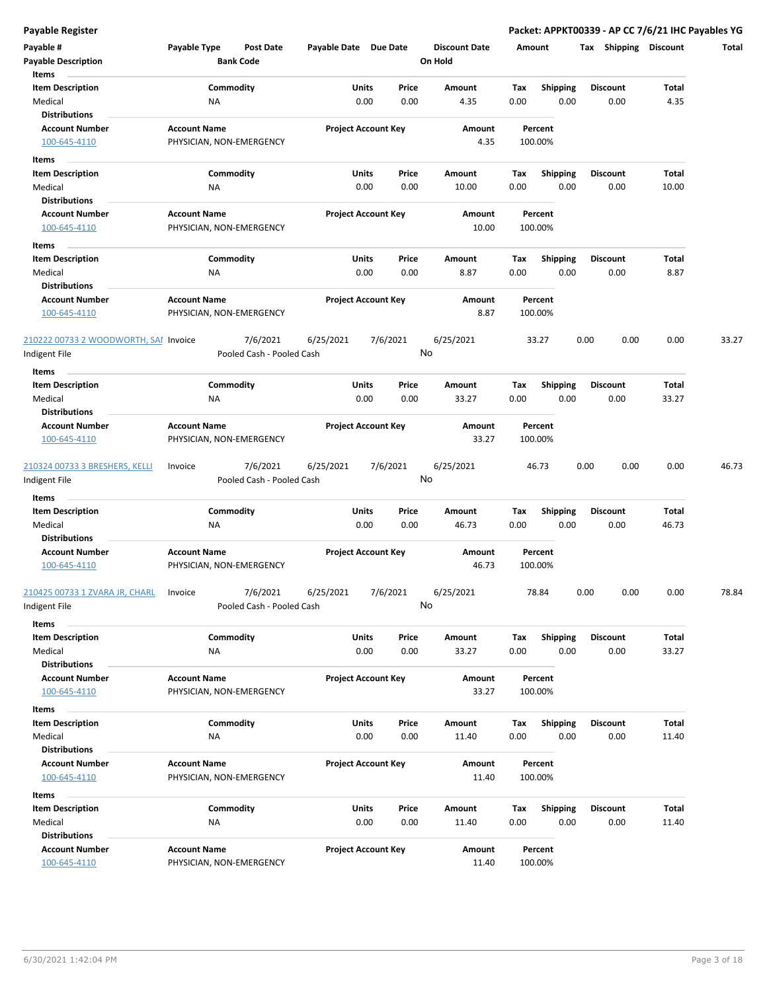| Payable #<br><b>Payable Description</b>                       | Payable Type        | Post Date<br><b>Bank Code</b>         | Payable Date Due Date |                            |               | <b>Discount Date</b><br>On Hold | Amount      |                         | Tax             | Shipping | <b>Discount</b> | Total |
|---------------------------------------------------------------|---------------------|---------------------------------------|-----------------------|----------------------------|---------------|---------------------------------|-------------|-------------------------|-----------------|----------|-----------------|-------|
| Items<br><b>Item Description</b><br>Medical                   | ΝA                  | Commodity                             |                       | Units<br>0.00              | Price<br>0.00 | Amount<br>4.35                  | Tax<br>0.00 | <b>Shipping</b><br>0.00 | <b>Discount</b> | 0.00     | Total<br>4.35   |       |
| <b>Distributions</b><br><b>Account Number</b><br>100-645-4110 | <b>Account Name</b> | PHYSICIAN, NON-EMERGENCY              |                       | <b>Project Account Key</b> |               | Amount<br>4.35                  |             | Percent<br>100.00%      |                 |          |                 |       |
| Items                                                         |                     |                                       |                       |                            |               |                                 |             |                         |                 |          |                 |       |
| <b>Item Description</b>                                       |                     | Commodity                             |                       | Units<br>0.00              | Price<br>0.00 | Amount<br>10.00                 | Тах<br>0.00 | <b>Shipping</b><br>0.00 | <b>Discount</b> | 0.00     | Total<br>10.00  |       |
| Medical<br><b>Distributions</b>                               | ΝA                  |                                       |                       |                            |               |                                 |             |                         |                 |          |                 |       |
| <b>Account Number</b><br>100-645-4110                         | <b>Account Name</b> | PHYSICIAN, NON-EMERGENCY              |                       | <b>Project Account Key</b> |               | Amount<br>10.00                 |             | Percent<br>100.00%      |                 |          |                 |       |
| Items                                                         |                     |                                       |                       |                            |               |                                 |             |                         |                 |          |                 |       |
| <b>Item Description</b>                                       |                     | Commodity                             |                       | Units                      | Price         | Amount                          | Tax         | <b>Shipping</b>         | <b>Discount</b> |          | Total           |       |
| Medical                                                       | ΝA                  |                                       |                       | 0.00                       | 0.00          | 8.87                            | 0.00        | 0.00                    |                 | 0.00     | 8.87            |       |
| <b>Distributions</b>                                          |                     |                                       |                       |                            |               |                                 |             |                         |                 |          |                 |       |
| <b>Account Number</b><br>100-645-4110                         | <b>Account Name</b> | PHYSICIAN, NON-EMERGENCY              |                       | <b>Project Account Key</b> |               | Amount<br>8.87                  |             | Percent<br>100.00%      |                 |          |                 |       |
| 210222 00733 2 WOODWORTH, SAI Invoice<br>Indigent File        |                     | 7/6/2021<br>Pooled Cash - Pooled Cash | 6/25/2021             | 7/6/2021                   |               | 6/25/2021<br>No                 |             | 33.27                   | 0.00            | 0.00     | 0.00            | 33.27 |
| Items                                                         |                     |                                       |                       |                            |               |                                 |             |                         |                 |          |                 |       |
| <b>Item Description</b>                                       |                     | Commodity                             |                       | Units                      | Price         | Amount                          | Tax         | Shipping                | <b>Discount</b> |          | Total           |       |
| Medical                                                       | NA                  |                                       |                       | 0.00                       | 0.00          | 33.27                           | 0.00        | 0.00                    |                 | 0.00     | 33.27           |       |
| <b>Distributions</b>                                          |                     |                                       |                       |                            |               |                                 |             |                         |                 |          |                 |       |
| <b>Account Number</b>                                         | <b>Account Name</b> |                                       |                       | <b>Project Account Key</b> |               | Amount                          |             | Percent                 |                 |          |                 |       |
| 100-645-4110                                                  |                     | PHYSICIAN, NON-EMERGENCY              |                       |                            |               | 33.27                           |             | 100.00%                 |                 |          |                 |       |
| 210324 00733 3 BRESHERS, KELLI                                | Invoice             | 7/6/2021                              | 6/25/2021             | 7/6/2021                   |               | 6/25/2021                       |             | 46.73                   | 0.00            | 0.00     | 0.00            | 46.73 |
| Indigent File                                                 |                     | Pooled Cash - Pooled Cash             |                       |                            |               | No                              |             |                         |                 |          |                 |       |
| Items                                                         |                     |                                       |                       |                            |               |                                 |             |                         |                 |          |                 |       |
| <b>Item Description</b>                                       |                     | Commodity                             |                       | <b>Units</b>               | Price         | Amount                          | Tax         | <b>Shipping</b>         |                 | Discount | Total           |       |
| Medical                                                       | ΝA                  |                                       |                       | 0.00                       | 0.00          | 46.73                           | 0.00        | 0.00                    |                 | 0.00     | 46.73           |       |
| <b>Distributions</b>                                          |                     |                                       |                       |                            |               |                                 |             |                         |                 |          |                 |       |
| <b>Account Number</b><br>100-645-4110                         | <b>Account Name</b> | PHYSICIAN, NON-EMERGENCY              |                       | <b>Project Account Key</b> |               | Amount<br>46.73                 |             | Percent<br>100.00%      |                 |          |                 |       |
| 210425 00733 1 ZVARA JR, CHARL<br>ndigent File                | Invoice             | 7/6/2021<br>Pooled Cash - Pooled Cash | 6/25/2021             | 7/6/2021                   |               | 6/25/2021<br>No                 |             | 78.84                   | 0.00            | 0.00     | 0.00            | 78.84 |
| Items                                                         |                     |                                       |                       |                            |               |                                 |             |                         |                 |          |                 |       |
| <b>Item Description</b>                                       |                     | Commodity                             |                       | Units                      | Price         | Amount                          | Tax         | <b>Shipping</b>         | <b>Discount</b> |          | Total           |       |
| Medical                                                       | <b>NA</b>           |                                       |                       | 0.00                       | 0.00          | 33.27                           | 0.00        | 0.00                    |                 | 0.00     | 33.27           |       |
| <b>Distributions</b>                                          |                     |                                       |                       |                            |               |                                 |             |                         |                 |          |                 |       |
| <b>Account Number</b><br>100-645-4110                         | <b>Account Name</b> | PHYSICIAN, NON-EMERGENCY              |                       | <b>Project Account Key</b> |               | Amount<br>33.27                 |             | Percent<br>100.00%      |                 |          |                 |       |
| Items                                                         |                     |                                       |                       |                            |               |                                 |             |                         |                 |          |                 |       |
| <b>Item Description</b>                                       |                     | Commodity                             |                       | Units                      | Price         | Amount                          | Tax         | <b>Shipping</b>         | <b>Discount</b> |          | Total           |       |
| Medical                                                       | NA                  |                                       |                       | 0.00                       | 0.00          | 11.40                           | 0.00        | 0.00                    |                 | 0.00     | 11.40           |       |
| <b>Distributions</b>                                          |                     |                                       |                       |                            |               |                                 |             |                         |                 |          |                 |       |
| <b>Account Number</b><br>100-645-4110                         | <b>Account Name</b> | PHYSICIAN, NON-EMERGENCY              |                       | <b>Project Account Key</b> |               | Amount<br>11.40                 |             | Percent<br>100.00%      |                 |          |                 |       |
| Items                                                         |                     |                                       |                       |                            |               |                                 |             |                         |                 |          |                 |       |
| <b>Item Description</b>                                       |                     | Commodity                             |                       | Units                      | Price         | Amount                          | Тах         | <b>Shipping</b>         | <b>Discount</b> |          | Total           |       |
| Medical                                                       | NA                  |                                       |                       | 0.00                       | 0.00          | 11.40                           | 0.00        | 0.00                    |                 | 0.00     | 11.40           |       |
| <b>Distributions</b>                                          |                     |                                       |                       |                            |               |                                 |             |                         |                 |          |                 |       |
| <b>Account Number</b><br>100-645-4110                         | <b>Account Name</b> | PHYSICIAN, NON-EMERGENCY              |                       | <b>Project Account Key</b> |               | Amount<br>11.40                 |             | Percent<br>100.00%      |                 |          |                 |       |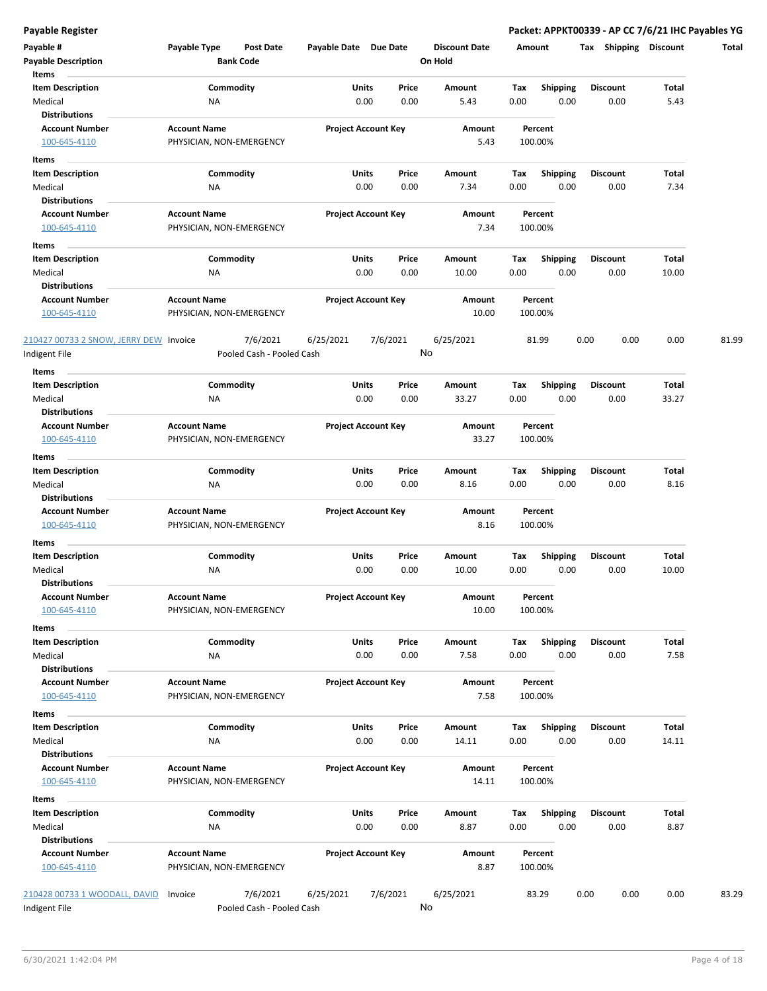| Payable #<br><b>Payable Description</b>        | Payable Type                                    | Post Date<br><b>Bank Code</b>         | Payable Date Due Date |                            | <b>Discount Date</b><br>On Hold | Amount |                    | Tax<br>Shipping | <b>Discount</b> | Total |
|------------------------------------------------|-------------------------------------------------|---------------------------------------|-----------------------|----------------------------|---------------------------------|--------|--------------------|-----------------|-----------------|-------|
| Items                                          |                                                 |                                       |                       |                            |                                 |        |                    |                 |                 |       |
| <b>Item Description</b>                        |                                                 | Commodity                             |                       | Units<br>Price             | Amount                          | Tax    | <b>Shipping</b>    | <b>Discount</b> | Total           |       |
| Medical                                        | ΝA                                              |                                       |                       | 0.00<br>0.00               | 5.43                            | 0.00   | 0.00               | 0.00            | 5.43            |       |
| <b>Distributions</b>                           |                                                 |                                       |                       |                            |                                 |        |                    |                 |                 |       |
| <b>Account Number</b>                          | <b>Account Name</b>                             |                                       |                       | <b>Project Account Key</b> | Amount                          |        | Percent            |                 |                 |       |
| 100-645-4110                                   | PHYSICIAN, NON-EMERGENCY                        |                                       |                       |                            | 5.43                            |        | 100.00%            |                 |                 |       |
| Items                                          |                                                 |                                       |                       |                            |                                 |        |                    |                 |                 |       |
| <b>Item Description</b>                        |                                                 | Commodity                             |                       | Units<br>Price             | Amount                          | Тах    | <b>Shipping</b>    | <b>Discount</b> | Total           |       |
| Medical                                        | ΝA                                              |                                       |                       | 0.00<br>0.00               | 7.34                            | 0.00   | 0.00               | 0.00            | 7.34            |       |
| <b>Distributions</b>                           |                                                 |                                       |                       |                            |                                 |        |                    |                 |                 |       |
| <b>Account Number</b>                          | <b>Account Name</b>                             |                                       |                       | <b>Project Account Key</b> | Amount                          |        | Percent            |                 |                 |       |
| 100-645-4110                                   | PHYSICIAN, NON-EMERGENCY                        |                                       |                       |                            | 7.34                            |        | 100.00%            |                 |                 |       |
| Items                                          |                                                 |                                       |                       |                            |                                 |        |                    |                 |                 |       |
| <b>Item Description</b>                        |                                                 | Commodity                             |                       | Units<br>Price             | Amount                          | Tax    | <b>Shipping</b>    | <b>Discount</b> | Total           |       |
| Medical                                        | ΝA                                              |                                       |                       | 0.00<br>0.00               | 10.00                           | 0.00   | 0.00               | 0.00            | 10.00           |       |
| <b>Distributions</b>                           |                                                 |                                       |                       |                            |                                 |        |                    |                 |                 |       |
| <b>Account Number</b><br>100-645-4110          | <b>Account Name</b><br>PHYSICIAN, NON-EMERGENCY |                                       |                       | <b>Project Account Key</b> | Amount<br>10.00                 |        | Percent<br>100.00% |                 |                 |       |
| 210427 00733 2 SNOW, JERRY DEW Invoice         |                                                 | 7/6/2021                              | 6/25/2021             | 7/6/2021                   | 6/25/2021                       |        | 81.99              | 0.00<br>0.00    | 0.00            | 81.99 |
| Indigent File                                  |                                                 | Pooled Cash - Pooled Cash             |                       |                            | No                              |        |                    |                 |                 |       |
| Items                                          |                                                 |                                       |                       |                            |                                 |        |                    |                 |                 |       |
| <b>Item Description</b>                        |                                                 | Commodity                             |                       | Units<br>Price             | Amount                          | Tax    | <b>Shipping</b>    | <b>Discount</b> | Total           |       |
| Medical                                        | NA                                              |                                       |                       | 0.00<br>0.00               | 33.27                           | 0.00   | 0.00               | 0.00            | 33.27           |       |
| <b>Distributions</b>                           |                                                 |                                       |                       |                            |                                 |        |                    |                 |                 |       |
| <b>Account Number</b>                          | <b>Account Name</b>                             |                                       |                       | <b>Project Account Key</b> | Amount                          |        | Percent            |                 |                 |       |
| 100-645-4110                                   | PHYSICIAN, NON-EMERGENCY                        |                                       |                       |                            | 33.27                           |        | 100.00%            |                 |                 |       |
| Items                                          |                                                 |                                       |                       |                            |                                 |        |                    |                 |                 |       |
| <b>Item Description</b>                        |                                                 | Commodity                             |                       | Units<br>Price             | Amount                          | Tax    | <b>Shipping</b>    | <b>Discount</b> | Total           |       |
| Medical<br><b>Distributions</b>                | ΝA                                              |                                       |                       | 0.00<br>0.00               | 8.16                            | 0.00   | 0.00               | 0.00            | 8.16            |       |
| <b>Account Number</b>                          | <b>Account Name</b>                             |                                       |                       | <b>Project Account Key</b> | Amount                          |        | Percent            |                 |                 |       |
| 100-645-4110                                   | PHYSICIAN, NON-EMERGENCY                        |                                       |                       |                            | 8.16                            |        | 100.00%            |                 |                 |       |
| Items                                          |                                                 |                                       |                       |                            |                                 |        |                    |                 |                 |       |
| <b>Item Description</b>                        |                                                 | Commodity                             |                       | Units<br>Price             | Amount                          | Tax    | Shipping           | Discount        | Total           |       |
| Medical                                        | ΝA                                              |                                       |                       | 0.00<br>0.00               | 10.00                           | 0.00   | 0.00               | 0.00            | 10.00           |       |
| <b>Distributions</b>                           |                                                 |                                       |                       |                            |                                 |        |                    |                 |                 |       |
| Account Number                                 | <b>Account Name</b>                             |                                       |                       | <b>Project Account Key</b> | Amount                          |        | Percent            |                 |                 |       |
| 100-645-4110                                   | PHYSICIAN, NON-EMERGENCY                        |                                       |                       |                            | 10.00                           |        | 100.00%            |                 |                 |       |
| Items                                          |                                                 |                                       |                       |                            |                                 |        |                    |                 |                 |       |
| <b>Item Description</b>                        |                                                 | Commodity                             |                       | Units<br>Price             | Amount                          | Tax    | Shipping           | <b>Discount</b> | Total           |       |
| Medical                                        | ΝA                                              |                                       |                       | 0.00<br>0.00               | 7.58                            | 0.00   | 0.00               | 0.00            | 7.58            |       |
| <b>Distributions</b>                           |                                                 |                                       |                       |                            |                                 |        |                    |                 |                 |       |
| <b>Account Number</b>                          | <b>Account Name</b>                             |                                       |                       | <b>Project Account Key</b> | Amount                          |        | Percent            |                 |                 |       |
| 100-645-4110                                   | PHYSICIAN, NON-EMERGENCY                        |                                       |                       |                            | 7.58                            |        | 100.00%            |                 |                 |       |
| Items                                          |                                                 |                                       |                       |                            |                                 |        |                    |                 |                 |       |
| <b>Item Description</b>                        |                                                 | Commodity                             |                       | Units<br>Price             | Amount                          | Tax    | <b>Shipping</b>    | <b>Discount</b> | Total           |       |
| Medical                                        | <b>NA</b>                                       |                                       |                       | 0.00<br>0.00               | 14.11                           | 0.00   | 0.00               | 0.00            | 14.11           |       |
| <b>Distributions</b>                           |                                                 |                                       |                       |                            |                                 |        |                    |                 |                 |       |
| <b>Account Number</b>                          | <b>Account Name</b>                             |                                       |                       | <b>Project Account Key</b> | Amount                          |        | Percent            |                 |                 |       |
| 100-645-4110                                   | PHYSICIAN, NON-EMERGENCY                        |                                       |                       |                            | 14.11                           |        | 100.00%            |                 |                 |       |
| Items                                          |                                                 |                                       |                       |                            |                                 |        |                    |                 |                 |       |
| <b>Item Description</b>                        |                                                 | Commodity                             |                       | Units<br>Price             | Amount                          | Tax    | <b>Shipping</b>    | Discount        | Total           |       |
| Medical                                        | NA                                              |                                       |                       | 0.00<br>0.00               | 8.87                            | 0.00   | 0.00               | 0.00            | 8.87            |       |
| <b>Distributions</b>                           |                                                 |                                       |                       |                            |                                 |        |                    |                 |                 |       |
| <b>Account Number</b>                          | <b>Account Name</b>                             |                                       |                       | <b>Project Account Key</b> | Amount                          |        | Percent            |                 |                 |       |
| 100-645-4110                                   | PHYSICIAN, NON-EMERGENCY                        |                                       |                       |                            | 8.87                            |        | 100.00%            |                 |                 |       |
|                                                |                                                 |                                       |                       |                            |                                 |        |                    |                 |                 |       |
| 210428 00733 1 WOODALL, DAVID<br>Indigent File | Invoice                                         | 7/6/2021<br>Pooled Cash - Pooled Cash | 6/25/2021             | 7/6/2021                   | 6/25/2021<br>No                 |        | 83.29              | 0.00<br>0.00    | 0.00            | 83.29 |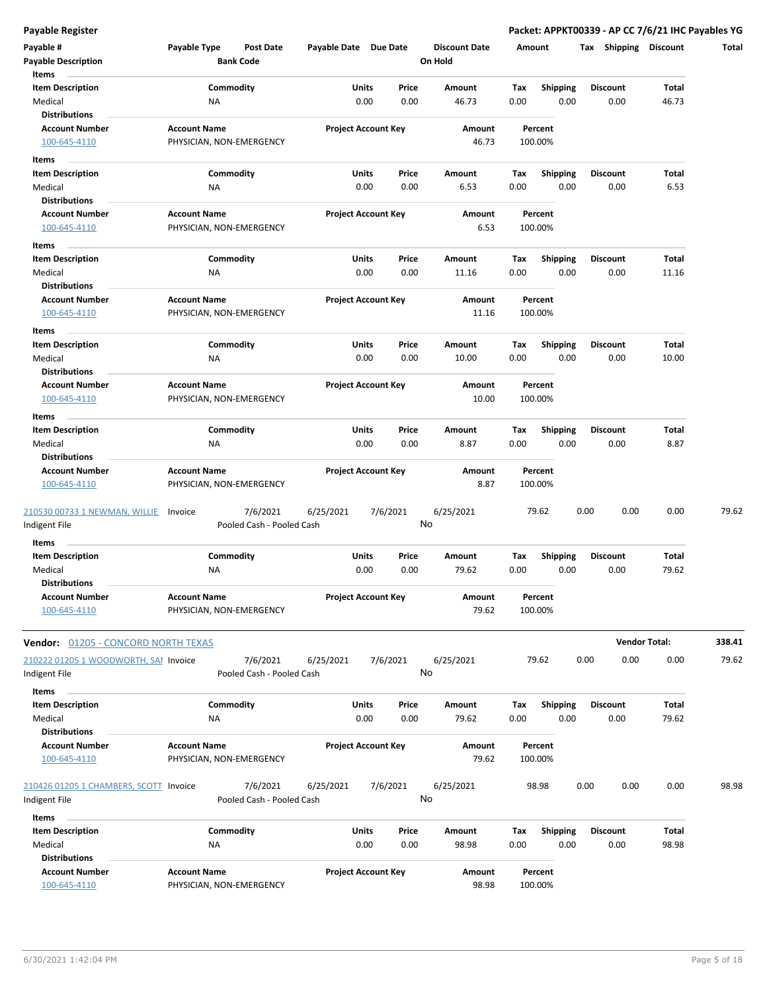| Payable #                                  | Payable Type        | Post Date                 | Payable Date Due Date |                            | <b>Discount Date</b> | Amount  |                 | Tax Shipping    | Discount             | Total  |
|--------------------------------------------|---------------------|---------------------------|-----------------------|----------------------------|----------------------|---------|-----------------|-----------------|----------------------|--------|
| <b>Payable Description</b><br>Items        |                     | <b>Bank Code</b>          |                       |                            | On Hold              |         |                 |                 |                      |        |
| <b>Item Description</b>                    |                     | Commodity                 |                       | Units<br>Price             | Amount               | Tax     | <b>Shipping</b> | Discount        | Total                |        |
| Medical                                    | ΝA                  |                           |                       | 0.00<br>0.00               | 46.73                | 0.00    | 0.00            | 0.00            | 46.73                |        |
| <b>Distributions</b>                       |                     |                           |                       |                            |                      |         |                 |                 |                      |        |
| <b>Account Number</b>                      | <b>Account Name</b> |                           |                       | <b>Project Account Key</b> | Amount               | Percent |                 |                 |                      |        |
| 100-645-4110                               |                     | PHYSICIAN, NON-EMERGENCY  |                       |                            | 46.73                | 100.00% |                 |                 |                      |        |
|                                            |                     |                           |                       |                            |                      |         |                 |                 |                      |        |
| Items                                      |                     |                           |                       |                            |                      |         |                 |                 |                      |        |
| <b>Item Description</b>                    |                     | Commodity                 |                       | Units<br>Price             | Amount               | Тах     | <b>Shipping</b> | <b>Discount</b> | Total                |        |
| Medical                                    | ΝA                  |                           |                       | 0.00<br>0.00               | 6.53                 | 0.00    | 0.00            | 0.00            | 6.53                 |        |
| <b>Distributions</b>                       |                     |                           |                       |                            |                      |         |                 |                 |                      |        |
| <b>Account Number</b>                      | <b>Account Name</b> |                           |                       | <b>Project Account Key</b> | Amount               | Percent |                 |                 |                      |        |
| 100-645-4110                               |                     | PHYSICIAN, NON-EMERGENCY  |                       |                            | 6.53                 | 100.00% |                 |                 |                      |        |
| Items                                      |                     |                           |                       |                            |                      |         |                 |                 |                      |        |
| <b>Item Description</b>                    |                     | Commodity                 |                       | Units<br>Price             | Amount               | Tax     | <b>Shipping</b> | Discount        | Total                |        |
| Medical                                    | ΝA                  |                           |                       | 0.00<br>0.00               | 11.16                | 0.00    | 0.00            | 0.00            | 11.16                |        |
| <b>Distributions</b>                       |                     |                           |                       |                            |                      |         |                 |                 |                      |        |
| <b>Account Number</b>                      | <b>Account Name</b> |                           |                       | <b>Project Account Key</b> | <b>Amount</b>        | Percent |                 |                 |                      |        |
| 100-645-4110                               |                     | PHYSICIAN, NON-EMERGENCY  |                       |                            | 11.16                | 100.00% |                 |                 |                      |        |
|                                            |                     |                           |                       |                            |                      |         |                 |                 |                      |        |
| Items                                      |                     |                           |                       |                            |                      |         |                 |                 |                      |        |
| <b>Item Description</b>                    |                     | Commodity                 |                       | <b>Units</b><br>Price      | Amount               | Tax     | <b>Shipping</b> | <b>Discount</b> | <b>Total</b>         |        |
| Medical<br><b>Distributions</b>            | NA                  |                           |                       | 0.00<br>0.00               | 10.00                | 0.00    | 0.00            | 0.00            | 10.00                |        |
|                                            |                     |                           |                       |                            |                      |         |                 |                 |                      |        |
| <b>Account Number</b>                      | <b>Account Name</b> |                           |                       | <b>Project Account Key</b> | Amount               | Percent |                 |                 |                      |        |
| 100-645-4110                               |                     | PHYSICIAN, NON-EMERGENCY  |                       |                            | 10.00                | 100.00% |                 |                 |                      |        |
| Items                                      |                     |                           |                       |                            |                      |         |                 |                 |                      |        |
| <b>Item Description</b>                    |                     | Commodity                 |                       | Units<br>Price             | Amount               | Tax     | <b>Shipping</b> | Discount        | Total                |        |
| Medical                                    | NA                  |                           |                       | 0.00<br>0.00               | 8.87                 | 0.00    | 0.00            | 0.00            | 8.87                 |        |
| <b>Distributions</b>                       |                     |                           |                       |                            |                      |         |                 |                 |                      |        |
| <b>Account Number</b>                      | <b>Account Name</b> |                           |                       | <b>Project Account Key</b> | Amount               | Percent |                 |                 |                      |        |
| 100-645-4110                               |                     | PHYSICIAN, NON-EMERGENCY  |                       |                            | 8.87                 | 100.00% |                 |                 |                      |        |
|                                            |                     |                           |                       |                            |                      |         |                 |                 |                      |        |
| 210530 00733 1 NEWMAN, WILLIE              | Invoice             | 7/6/2021                  | 6/25/2021             | 7/6/2021                   | 6/25/2021            | 79.62   |                 | 0.00<br>0.00    | 0.00                 | 79.62  |
| Indigent File                              |                     | Pooled Cash - Pooled Cash |                       |                            | No                   |         |                 |                 |                      |        |
| Items                                      |                     |                           |                       |                            |                      |         |                 |                 |                      |        |
| <b>Item Description</b>                    |                     | Commodity                 |                       | Units<br>Price             | Amount               | Tax     | <b>Shipping</b> | <b>Discount</b> | <b>Total</b>         |        |
| Medical                                    | ΝA                  |                           |                       | 0.00<br>0.00               | 79.62                | 0.00    | 0.00            | 0.00            | 79.62                |        |
| <b>Distributions</b>                       |                     |                           |                       |                            |                      |         |                 |                 |                      |        |
| <b>Account Number</b>                      | <b>Account Name</b> |                           |                       | <b>Project Account Key</b> | Amount               | Percent |                 |                 |                      |        |
| 100-645-4110                               |                     | PHYSICIAN, NON-EMERGENCY  |                       |                            | 79.62                | 100.00% |                 |                 |                      |        |
|                                            |                     |                           |                       |                            |                      |         |                 |                 |                      |        |
| <b>Vendor: 01205 - CONCORD NORTH TEXAS</b> |                     |                           |                       |                            |                      |         |                 |                 | <b>Vendor Total:</b> | 338.41 |
|                                            |                     |                           |                       |                            |                      |         |                 |                 |                      |        |
| 210222 01205 1 WOODWORTH, SAI Invoice      |                     | 7/6/2021                  | 6/25/2021             | 7/6/2021                   | 6/25/2021            | 79.62   |                 | 0.00<br>0.00    | 0.00                 | 79.62  |
| Indigent File                              |                     | Pooled Cash - Pooled Cash |                       |                            | No                   |         |                 |                 |                      |        |
| Items                                      |                     |                           |                       |                            |                      |         |                 |                 |                      |        |
| <b>Item Description</b>                    |                     | Commodity                 |                       | Units<br>Price             | Amount               | Tax     | Shipping        | <b>Discount</b> | Total                |        |
| Medical                                    | NA                  |                           |                       | 0.00<br>0.00               | 79.62                | 0.00    | 0.00            | 0.00            | 79.62                |        |
| <b>Distributions</b>                       |                     |                           |                       |                            |                      |         |                 |                 |                      |        |
| <b>Account Number</b>                      | <b>Account Name</b> |                           |                       | <b>Project Account Key</b> | Amount               | Percent |                 |                 |                      |        |
| 100-645-4110                               |                     | PHYSICIAN, NON-EMERGENCY  |                       |                            | 79.62                | 100.00% |                 |                 |                      |        |
|                                            |                     |                           |                       |                            |                      |         |                 |                 |                      |        |
| 210426 01205 1 CHAMBERS, SCOTT Invoice     |                     | 7/6/2021                  | 6/25/2021             | 7/6/2021                   | 6/25/2021            | 98.98   |                 | 0.00<br>0.00    | 0.00                 | 98.98  |
| Indigent File                              |                     | Pooled Cash - Pooled Cash |                       |                            | No                   |         |                 |                 |                      |        |
|                                            |                     |                           |                       |                            |                      |         |                 |                 |                      |        |
| Items                                      |                     |                           |                       |                            |                      |         |                 |                 |                      |        |
| <b>Item Description</b>                    |                     | Commodity                 |                       | Units<br>Price             | Amount               | Tax     | <b>Shipping</b> | <b>Discount</b> | <b>Total</b>         |        |
| Medical                                    | ΝA                  |                           |                       | 0.00<br>0.00               | 98.98                | 0.00    | 0.00            | 0.00            | 98.98                |        |
| <b>Distributions</b>                       |                     |                           |                       |                            |                      |         |                 |                 |                      |        |
| <b>Account Number</b>                      | <b>Account Name</b> |                           |                       | <b>Project Account Key</b> | Amount               | Percent |                 |                 |                      |        |
| 100-645-4110                               |                     | PHYSICIAN, NON-EMERGENCY  |                       |                            | 98.98                | 100.00% |                 |                 |                      |        |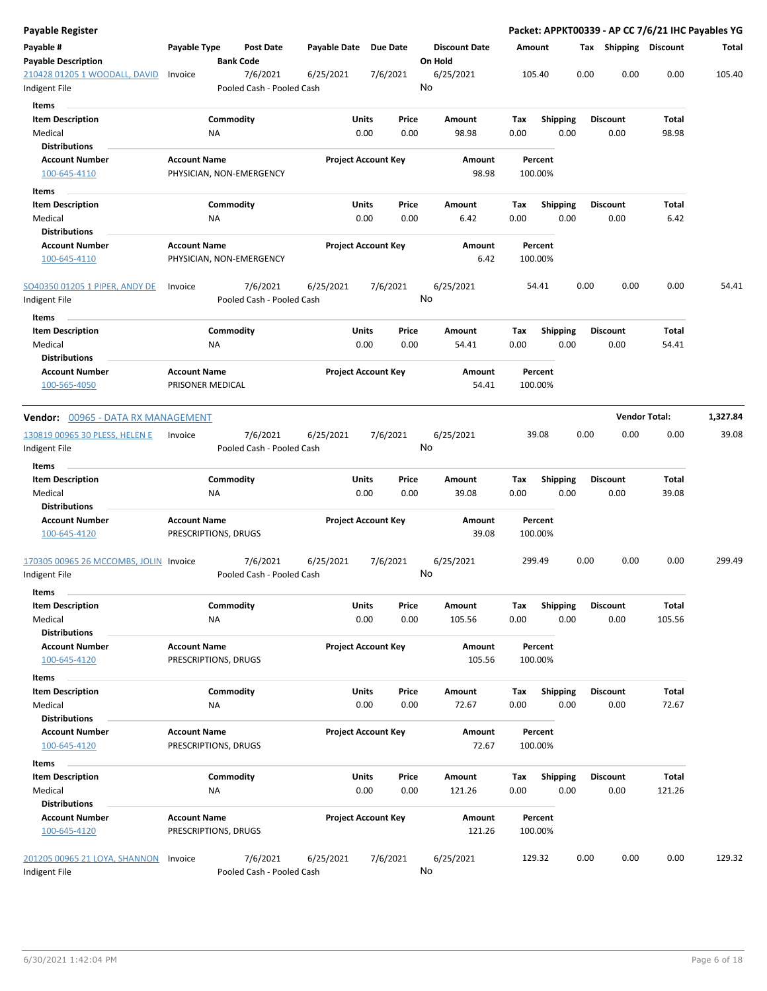| <b>Payable Register</b>                                 |                                             |                                       |              |                                |                                 |             |                         |      |                         |                          | Packet: APPKT00339 - AP CC 7/6/21 IHC Payables YG |
|---------------------------------------------------------|---------------------------------------------|---------------------------------------|--------------|--------------------------------|---------------------------------|-------------|-------------------------|------|-------------------------|--------------------------|---------------------------------------------------|
| Payable #<br><b>Payable Description</b>                 | Payable Type                                | <b>Post Date</b><br><b>Bank Code</b>  | Payable Date | <b>Due Date</b>                | <b>Discount Date</b><br>On Hold |             | Amount                  | Тах  |                         | <b>Shipping Discount</b> | Total                                             |
| 210428 01205 1 WOODALL, DAVID<br>Indigent File          | Invoice                                     | 7/6/2021<br>Pooled Cash - Pooled Cash | 6/25/2021    | 7/6/2021                       | 6/25/2021<br>No                 |             | 105.40                  | 0.00 | 0.00                    | 0.00                     | 105.40                                            |
| Items                                                   |                                             |                                       |              |                                |                                 |             |                         |      |                         |                          |                                                   |
| <b>Item Description</b>                                 |                                             | Commodity                             |              | <b>Units</b><br>Price          | Amount                          | Tax         | <b>Shipping</b>         |      | <b>Discount</b>         | Total                    |                                                   |
| Medical                                                 | ΝA                                          |                                       |              | 0.00<br>0.00                   | 98.98                           | 0.00        | 0.00                    |      | 0.00                    | 98.98                    |                                                   |
| <b>Distributions</b>                                    |                                             |                                       |              |                                |                                 |             |                         |      |                         |                          |                                                   |
| <b>Account Number</b>                                   | <b>Account Name</b>                         |                                       |              | <b>Project Account Key</b>     | Amount                          |             | Percent                 |      |                         |                          |                                                   |
| 100-645-4110                                            |                                             | PHYSICIAN, NON-EMERGENCY              |              |                                |                                 | 98.98       | 100.00%                 |      |                         |                          |                                                   |
| Items                                                   |                                             |                                       |              |                                |                                 |             |                         |      |                         |                          |                                                   |
| <b>Item Description</b>                                 |                                             | Commodity                             |              | Units<br>Price                 | Amount                          | Tax         | <b>Shipping</b>         |      | <b>Discount</b>         | Total                    |                                                   |
| Medical                                                 | NA                                          |                                       |              | 0.00<br>0.00                   | 6.42                            | 0.00        | 0.00                    |      | 0.00                    | 6.42                     |                                                   |
| <b>Distributions</b>                                    |                                             |                                       |              |                                |                                 |             |                         |      |                         |                          |                                                   |
| <b>Account Number</b>                                   | <b>Account Name</b>                         |                                       |              | <b>Project Account Key</b>     | Amount                          |             | Percent                 |      |                         |                          |                                                   |
| 100-645-4110                                            |                                             | PHYSICIAN, NON-EMERGENCY              |              |                                |                                 | 6.42        | 100.00%                 |      |                         |                          |                                                   |
| SO40350 01205 1 PIPER, ANDY DE<br>Indigent File         | Invoice                                     | 7/6/2021<br>Pooled Cash - Pooled Cash | 6/25/2021    | 7/6/2021                       | 6/25/2021<br>No                 |             | 54.41                   | 0.00 | 0.00                    | 0.00                     | 54.41                                             |
| Items                                                   |                                             |                                       |              |                                |                                 |             |                         |      |                         |                          |                                                   |
| <b>Item Description</b><br>Medical                      | ΝA                                          | Commodity                             |              | Units<br>Price<br>0.00<br>0.00 | <b>Amount</b><br>54.41          | Tax<br>0.00 | <b>Shipping</b><br>0.00 |      | <b>Discount</b><br>0.00 | <b>Total</b><br>54.41    |                                                   |
| <b>Distributions</b>                                    |                                             |                                       |              |                                |                                 |             |                         |      |                         |                          |                                                   |
| <b>Account Number</b><br>100-565-4050                   | <b>Account Name</b><br>PRISONER MEDICAL     |                                       |              | <b>Project Account Key</b>     | Amount                          | 54.41       | Percent<br>100.00%      |      |                         |                          |                                                   |
| <b>Vendor: 00965 - DATA RX MANAGEMENT</b>               |                                             |                                       |              |                                |                                 |             |                         |      |                         | <b>Vendor Total:</b>     | 1,327.84                                          |
| 130819 00965 30 PLESS, HELEN E<br>Indigent File         | Invoice                                     | 7/6/2021<br>Pooled Cash - Pooled Cash | 6/25/2021    | 7/6/2021                       | 6/25/2021<br>No                 |             | 39.08                   | 0.00 | 0.00                    | 0.00                     | 39.08                                             |
| Items                                                   |                                             |                                       |              |                                |                                 |             |                         |      |                         |                          |                                                   |
| <b>Item Description</b>                                 |                                             | Commodity                             |              | Units<br>Price                 | Amount                          | Tax         | <b>Shipping</b>         |      | <b>Discount</b>         | Total                    |                                                   |
| Medical                                                 | ΝA                                          |                                       |              | 0.00<br>0.00                   | 39.08                           | 0.00        | 0.00                    |      | 0.00                    | 39.08                    |                                                   |
| <b>Distributions</b>                                    |                                             |                                       |              |                                |                                 |             |                         |      |                         |                          |                                                   |
| <b>Account Number</b><br>100-645-4120                   | <b>Account Name</b><br>PRESCRIPTIONS, DRUGS |                                       |              | <b>Project Account Key</b>     | Amount                          | 39.08       | Percent<br>100.00%      |      |                         |                          |                                                   |
| 170305 00965 26 MCCOMBS, JOLIN Invoice<br>Indigent File |                                             | 7/6/2021<br>Pooled Cash - Pooled Cash | 6/25/2021    | 7/6/2021                       | 6/25/2021<br>No                 |             | 299.49                  | 0.00 | 0.00                    | 0.00                     | 299.49                                            |
|                                                         |                                             |                                       |              |                                |                                 |             |                         |      |                         |                          |                                                   |
| Items<br><b>Item Description</b>                        |                                             | Commodity                             |              | Units                          | Amount                          |             |                         |      |                         | <b>Total</b>             |                                                   |
| Medical                                                 | NA                                          |                                       |              | Price<br>0.00<br>0.00          | 105.56                          | Tax<br>0.00 | <b>Shipping</b><br>0.00 |      | <b>Discount</b><br>0.00 | 105.56                   |                                                   |
| <b>Distributions</b>                                    |                                             |                                       |              |                                |                                 |             |                         |      |                         |                          |                                                   |
| <b>Account Number</b>                                   | <b>Account Name</b>                         |                                       |              | <b>Project Account Key</b>     | Amount                          |             | Percent                 |      |                         |                          |                                                   |
| 100-645-4120                                            | PRESCRIPTIONS, DRUGS                        |                                       |              |                                | 105.56                          |             | 100.00%                 |      |                         |                          |                                                   |
| Items                                                   |                                             |                                       |              |                                |                                 |             |                         |      |                         |                          |                                                   |
| <b>Item Description</b>                                 |                                             | Commodity                             |              | Units<br>Price                 | Amount                          | Тах         | <b>Shipping</b>         |      | <b>Discount</b>         | Total                    |                                                   |
| Medical                                                 | ΝA                                          |                                       |              | 0.00<br>0.00                   | 72.67                           | 0.00        | 0.00                    |      | 0.00                    | 72.67                    |                                                   |
| <b>Distributions</b>                                    |                                             |                                       |              |                                |                                 |             |                         |      |                         |                          |                                                   |
| <b>Account Number</b>                                   | <b>Account Name</b>                         |                                       |              | <b>Project Account Key</b>     | Amount                          |             | Percent                 |      |                         |                          |                                                   |
| 100-645-4120                                            | PRESCRIPTIONS, DRUGS                        |                                       |              |                                |                                 | 72.67       | 100.00%                 |      |                         |                          |                                                   |
| Items                                                   |                                             |                                       |              |                                |                                 |             |                         |      |                         |                          |                                                   |
| <b>Item Description</b>                                 |                                             | Commodity                             |              | Units<br>Price                 | Amount                          | Tax         | <b>Shipping</b>         |      | <b>Discount</b>         | Total                    |                                                   |
| Medical                                                 | NA                                          |                                       |              | 0.00<br>0.00                   | 121.26                          | 0.00        | 0.00                    |      | 0.00                    | 121.26                   |                                                   |
| <b>Distributions</b>                                    |                                             |                                       |              |                                |                                 |             |                         |      |                         |                          |                                                   |
| <b>Account Number</b>                                   | <b>Account Name</b>                         |                                       |              | <b>Project Account Key</b>     | Amount                          |             | Percent                 |      |                         |                          |                                                   |
| 100-645-4120                                            | PRESCRIPTIONS, DRUGS                        |                                       |              |                                | 121.26                          |             | 100.00%                 |      |                         |                          |                                                   |
| 201205 00965 21 LOYA, SHANNON                           | Invoice                                     | 7/6/2021                              | 6/25/2021    | 7/6/2021                       | 6/25/2021                       |             | 129.32                  | 0.00 | 0.00                    | 0.00                     | 129.32                                            |
| Indigent File                                           |                                             | Pooled Cash - Pooled Cash             |              |                                | No                              |             |                         |      |                         |                          |                                                   |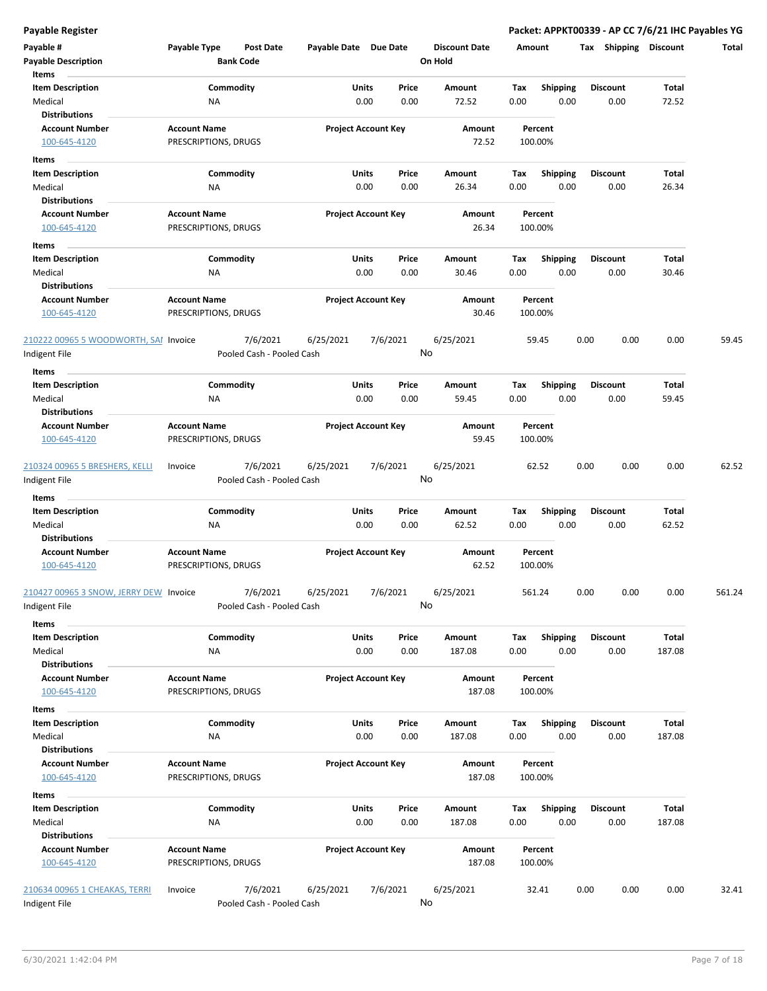| Payable #<br><b>Payable Description</b><br>Items              | Payable Type                                | Post Date<br><b>Bank Code</b>         | Payable Date Due Date |                                            | <b>Discount Date</b><br>On Hold | Amount             |                         | <b>Shipping</b><br>Tax  | <b>Discount</b> | Total  |
|---------------------------------------------------------------|---------------------------------------------|---------------------------------------|-----------------------|--------------------------------------------|---------------------------------|--------------------|-------------------------|-------------------------|-----------------|--------|
| <b>Item Description</b><br>Medical                            | <b>NA</b>                                   | Commodity                             |                       | Units<br>Price<br>0.00<br>0.00             | Amount<br>72.52                 | Tax<br>0.00        | <b>Shipping</b><br>0.00 | <b>Discount</b><br>0.00 | Total<br>72.52  |        |
| <b>Distributions</b><br><b>Account Number</b><br>100-645-4120 | <b>Account Name</b><br>PRESCRIPTIONS, DRUGS |                                       |                       | <b>Project Account Key</b>                 | Amount<br>72.52                 | Percent<br>100.00% |                         |                         |                 |        |
| Items<br><b>Item Description</b>                              |                                             | Commodity                             |                       | Units<br>Price                             | Amount                          | Tax                | <b>Shipping</b>         | Discount                | Total           |        |
| Medical<br><b>Distributions</b><br><b>Account Number</b>      | <b>NA</b><br><b>Account Name</b>            |                                       |                       | 0.00<br>0.00<br><b>Project Account Key</b> | 26.34<br>Amount                 | 0.00<br>Percent    | 0.00                    | 0.00                    | 26.34           |        |
| 100-645-4120<br>Items                                         | PRESCRIPTIONS, DRUGS                        |                                       |                       |                                            | 26.34                           | 100.00%            |                         |                         |                 |        |
| <b>Item Description</b><br>Medical<br><b>Distributions</b>    | ΝA                                          | Commodity                             |                       | Units<br>Price<br>0.00<br>0.00             | Amount<br>30.46                 | Тах<br>0.00        | <b>Shipping</b><br>0.00 | <b>Discount</b><br>0.00 | Total<br>30.46  |        |
| <b>Account Number</b><br>100-645-4120                         | <b>Account Name</b><br>PRESCRIPTIONS, DRUGS |                                       |                       | <b>Project Account Key</b>                 | Amount<br>30.46                 | Percent<br>100.00% |                         |                         |                 |        |
| 210222 00965 5 WOODWORTH, SAI Invoice<br>Indigent File        |                                             | 7/6/2021<br>Pooled Cash - Pooled Cash | 6/25/2021             | 7/6/2021                                   | 6/25/2021<br>No                 | 59.45              |                         | 0.00<br>0.00            | 0.00            | 59.45  |
| Items                                                         |                                             |                                       |                       |                                            |                                 |                    |                         |                         |                 |        |
| <b>Item Description</b><br>Medical<br><b>Distributions</b>    | ΝA                                          | Commodity                             |                       | <b>Units</b><br>Price<br>0.00<br>0.00      | Amount<br>59.45                 | Tax<br>0.00        | <b>Shipping</b><br>0.00 | <b>Discount</b><br>0.00 | Total<br>59.45  |        |
| <b>Account Number</b><br>100-645-4120                         | <b>Account Name</b><br>PRESCRIPTIONS, DRUGS |                                       |                       | <b>Project Account Key</b>                 | Amount<br>59.45                 | Percent<br>100.00% |                         |                         |                 |        |
| 210324 00965 5 BRESHERS, KELLI<br>Indigent File               | Invoice                                     | 7/6/2021<br>Pooled Cash - Pooled Cash | 6/25/2021             | 7/6/2021                                   | 6/25/2021<br>No                 | 62.52              |                         | 0.00<br>0.00            | 0.00            | 62.52  |
| Items                                                         |                                             |                                       |                       |                                            |                                 |                    |                         |                         |                 |        |
| <b>Item Description</b><br>Medical                            | NA                                          | Commodity                             |                       | Units<br>Price<br>0.00<br>0.00             | Amount<br>62.52                 | Tax<br>0.00        | Shipping<br>0.00        | <b>Discount</b><br>0.00 | Total<br>62.52  |        |
| <b>Distributions</b><br><b>Account Number</b><br>100-645-4120 | <b>Account Name</b><br>PRESCRIPTIONS, DRUGS |                                       |                       | <b>Project Account Key</b>                 | Amount<br>62.52                 | Percent<br>100.00% |                         |                         |                 |        |
| 210427 00965 3 SNOW, JERRY DEW Invoice<br>ndigent File        |                                             | 7/6/2021<br>Pooled Cash - Pooled Cash | 6/25/2021             | 7/6/2021                                   | 6/25/2021<br>No                 | 561.24             |                         | 0.00<br>0.00            | 0.00            | 561.24 |
| Items                                                         |                                             |                                       |                       |                                            |                                 |                    |                         |                         |                 |        |
| <b>Item Description</b><br>Medical                            | <b>NA</b>                                   | Commodity                             |                       | Units<br>Price<br>0.00<br>0.00             | Amount<br>187.08                | Tax<br>0.00        | <b>Shipping</b><br>0.00 | <b>Discount</b><br>0.00 | Total<br>187.08 |        |
| <b>Distributions</b><br><b>Account Number</b><br>100-645-4120 | <b>Account Name</b><br>PRESCRIPTIONS, DRUGS |                                       |                       | <b>Project Account Key</b>                 | Amount<br>187.08                | Percent<br>100.00% |                         |                         |                 |        |
| Items<br><b>Item Description</b>                              |                                             |                                       |                       |                                            |                                 |                    |                         |                         | Total           |        |
| Medical<br><b>Distributions</b>                               | ΝA                                          | Commodity                             |                       | Units<br>Price<br>0.00<br>0.00             | Amount<br>187.08                | Tax<br>0.00        | <b>Shipping</b><br>0.00 | <b>Discount</b><br>0.00 | 187.08          |        |
| <b>Account Number</b><br>100-645-4120                         | <b>Account Name</b><br>PRESCRIPTIONS, DRUGS |                                       |                       | <b>Project Account Key</b>                 | Amount<br>187.08                | Percent<br>100.00% |                         |                         |                 |        |
| Items<br><b>Item Description</b><br>Medical                   | NA                                          | Commodity                             |                       | Units<br>Price<br>0.00<br>0.00             | Amount<br>187.08                | Tax<br>0.00        | <b>Shipping</b><br>0.00 | <b>Discount</b><br>0.00 | Total<br>187.08 |        |
| <b>Distributions</b><br><b>Account Number</b><br>100-645-4120 | <b>Account Name</b><br>PRESCRIPTIONS, DRUGS |                                       |                       | <b>Project Account Key</b>                 | Amount<br>187.08                | Percent<br>100.00% |                         |                         |                 |        |
| 210634 00965 1 CHEAKAS, TERRI<br>Indigent File                | Invoice                                     | 7/6/2021<br>Pooled Cash - Pooled Cash | 6/25/2021             | 7/6/2021                                   | 6/25/2021<br>No                 | 32.41              |                         | 0.00<br>0.00            | 0.00            | 32.41  |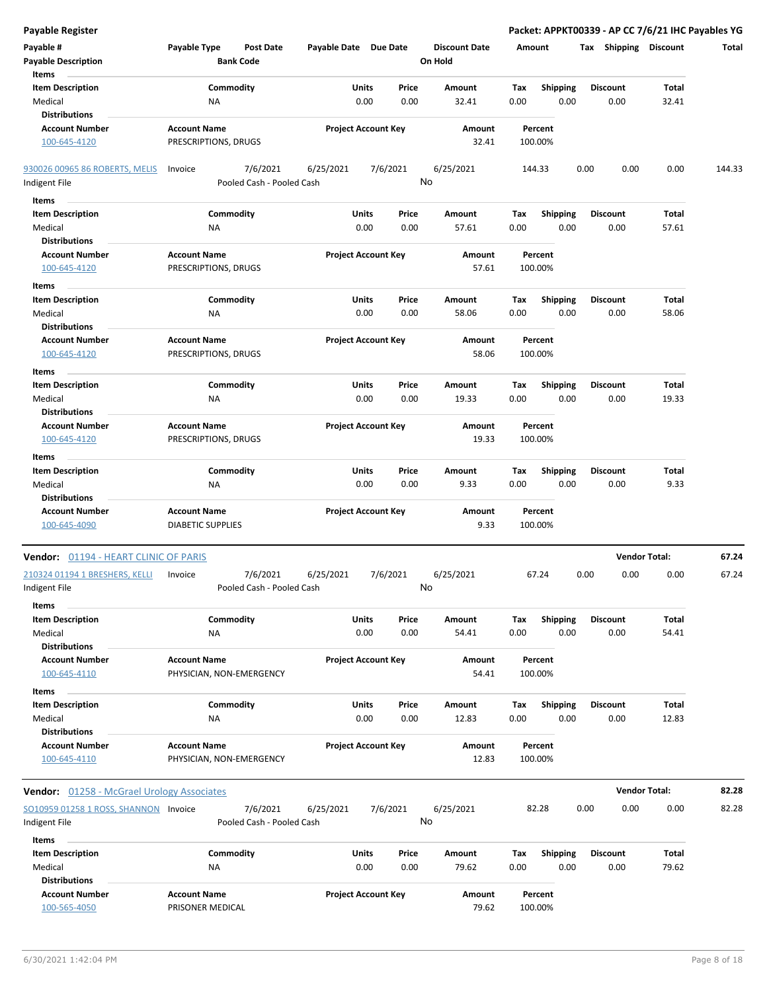| <b>Payable Register</b>                           |                                                      |                           |                            |                                 |             |                         | Packet: APPKT00339 - AP CC 7/6/21 IHC Payables YG |                      |        |
|---------------------------------------------------|------------------------------------------------------|---------------------------|----------------------------|---------------------------------|-------------|-------------------------|---------------------------------------------------|----------------------|--------|
| Payable #                                         | Payable Type<br><b>Post Date</b><br><b>Bank Code</b> | Payable Date Due Date     |                            | <b>Discount Date</b><br>On Hold | Amount      |                         | Tax Shipping Discount                             |                      | Total  |
| <b>Payable Description</b>                        |                                                      |                           |                            |                                 |             |                         |                                                   |                      |        |
| Items                                             |                                                      |                           |                            |                                 |             |                         |                                                   |                      |        |
| <b>Item Description</b>                           | Commodity                                            |                           | Units<br>Price             | Amount                          | Tax         | <b>Shipping</b>         | <b>Discount</b>                                   | Total                |        |
| Medical<br><b>Distributions</b>                   | <b>NA</b>                                            |                           | 0.00<br>0.00               | 32.41                           | 0.00        | 0.00                    | 0.00                                              | 32.41                |        |
|                                                   |                                                      |                           |                            |                                 |             |                         |                                                   |                      |        |
| <b>Account Number</b><br>100-645-4120             | <b>Account Name</b><br>PRESCRIPTIONS, DRUGS          |                           | <b>Project Account Key</b> | Amount<br>32.41                 |             | Percent<br>100.00%      |                                                   |                      |        |
| 930026 00965 86 ROBERTS, MELIS                    | 7/6/2021<br>Invoice                                  | 6/25/2021                 | 7/6/2021                   | 6/25/2021                       |             | 144.33                  | 0.00<br>0.00                                      | 0.00                 | 144.33 |
| Indigent File                                     |                                                      | Pooled Cash - Pooled Cash |                            | No                              |             |                         |                                                   |                      |        |
|                                                   |                                                      |                           |                            |                                 |             |                         |                                                   |                      |        |
| Items                                             |                                                      |                           |                            |                                 |             |                         |                                                   |                      |        |
| <b>Item Description</b>                           | Commodity                                            |                           | Units<br>Price             | Amount                          | Tax         | <b>Shipping</b>         | <b>Discount</b>                                   | Total                |        |
| Medical                                           | ΝA                                                   |                           | 0.00<br>0.00               | 57.61                           | 0.00        | 0.00                    | 0.00                                              | 57.61                |        |
| <b>Distributions</b>                              |                                                      |                           |                            |                                 |             |                         |                                                   |                      |        |
| <b>Account Number</b>                             | <b>Account Name</b>                                  |                           | <b>Project Account Key</b> | Amount                          |             | Percent                 |                                                   |                      |        |
| 100-645-4120                                      | PRESCRIPTIONS, DRUGS                                 |                           |                            | 57.61                           |             | 100.00%                 |                                                   |                      |        |
| Items                                             |                                                      |                           |                            |                                 |             |                         |                                                   |                      |        |
| <b>Item Description</b>                           | Commodity                                            |                           | Units<br>Price             | Amount                          | Tax         | <b>Shipping</b>         | <b>Discount</b>                                   | Total                |        |
| Medical                                           | <b>NA</b>                                            |                           | 0.00<br>0.00               | 58.06                           | 0.00        | 0.00                    | 0.00                                              | 58.06                |        |
| <b>Distributions</b>                              |                                                      |                           |                            |                                 |             |                         |                                                   |                      |        |
| <b>Account Number</b>                             | <b>Account Name</b>                                  |                           | <b>Project Account Key</b> | Amount                          |             | Percent                 |                                                   |                      |        |
| 100-645-4120                                      | PRESCRIPTIONS, DRUGS                                 |                           |                            | 58.06                           |             | 100.00%                 |                                                   |                      |        |
| Items                                             |                                                      |                           |                            |                                 |             |                         |                                                   |                      |        |
| <b>Item Description</b>                           | Commodity                                            |                           | Units<br>Price             | Amount                          | Tax         | <b>Shipping</b>         | <b>Discount</b>                                   | Total                |        |
| Medical                                           | <b>NA</b>                                            |                           | 0.00<br>0.00               | 19.33                           | 0.00        | 0.00                    | 0.00                                              | 19.33                |        |
| <b>Distributions</b>                              |                                                      |                           |                            |                                 |             |                         |                                                   |                      |        |
| <b>Account Number</b>                             | <b>Account Name</b>                                  |                           | <b>Project Account Key</b> | Amount                          |             | Percent                 |                                                   |                      |        |
| 100-645-4120                                      | PRESCRIPTIONS, DRUGS                                 |                           |                            | 19.33                           |             | 100.00%                 |                                                   |                      |        |
|                                                   |                                                      |                           |                            |                                 |             |                         |                                                   |                      |        |
| Items                                             |                                                      |                           |                            |                                 |             |                         |                                                   |                      |        |
| <b>Item Description</b>                           | Commodity                                            |                           | Units<br>Price             | Amount                          | Тах         | <b>Shipping</b>         | <b>Discount</b>                                   | Total                |        |
| Medical                                           | <b>NA</b>                                            |                           | 0.00<br>0.00               | 9.33                            | 0.00        | 0.00                    | 0.00                                              | 9.33                 |        |
| <b>Distributions</b>                              |                                                      |                           |                            |                                 |             |                         |                                                   |                      |        |
| <b>Account Number</b>                             | <b>Account Name</b>                                  |                           | <b>Project Account Key</b> | Amount                          |             | Percent                 |                                                   |                      |        |
| 100-645-4090                                      | <b>DIABETIC SUPPLIES</b>                             |                           |                            | 9.33                            |             | 100.00%                 |                                                   |                      |        |
| Vendor: 01194 - HEART CLINIC OF PARIS             |                                                      |                           |                            |                                 |             |                         |                                                   | <b>Vendor Total:</b> | 67.24  |
| 210324 01194 1 BRESHERS, KELLI                    | 7/6/2021<br>Invoice                                  | 6/25/2021                 | 7/6/2021                   | 6/25/2021                       |             | 67.24                   | 0.00<br>0.00                                      | 0.00                 | 67.24  |
| Indigent File                                     |                                                      | Pooled Cash - Pooled Cash |                            | No                              |             |                         |                                                   |                      |        |
| <b>Items</b>                                      |                                                      |                           |                            |                                 |             |                         |                                                   |                      |        |
| <b>Item Description</b>                           | Commodity                                            |                           | Units<br>Price             | Amount                          | Tax         | <b>Shipping</b>         | <b>Discount</b>                                   | Total                |        |
| Medical                                           | NA                                                   |                           | 0.00<br>0.00               | 54.41                           | 0.00        | 0.00                    | 0.00                                              | 54.41                |        |
| <b>Distributions</b>                              |                                                      |                           |                            |                                 |             |                         |                                                   |                      |        |
| <b>Account Number</b>                             | <b>Account Name</b>                                  |                           | <b>Project Account Key</b> | Amount                          |             | Percent                 |                                                   |                      |        |
| 100-645-4110                                      | PHYSICIAN, NON-EMERGENCY                             |                           |                            | 54.41                           |             | 100.00%                 |                                                   |                      |        |
| Items                                             |                                                      |                           |                            |                                 |             |                         |                                                   |                      |        |
| <b>Item Description</b>                           | Commodity                                            |                           | Units<br>Price             | Amount                          | Тах         | Shipping                | <b>Discount</b>                                   | Total                |        |
| Medical                                           | NA                                                   |                           | 0.00<br>0.00               | 12.83                           | 0.00        | 0.00                    | 0.00                                              | 12.83                |        |
| <b>Distributions</b>                              |                                                      |                           |                            |                                 |             |                         |                                                   |                      |        |
| <b>Account Number</b>                             | <b>Account Name</b>                                  |                           | <b>Project Account Key</b> | Amount                          |             | Percent                 |                                                   |                      |        |
| 100-645-4110                                      | PHYSICIAN, NON-EMERGENCY                             |                           |                            | 12.83                           |             | 100.00%                 |                                                   |                      |        |
|                                                   |                                                      |                           |                            |                                 |             |                         |                                                   |                      |        |
| <b>Vendor: 01258 - McGrael Urology Associates</b> |                                                      |                           |                            |                                 |             |                         |                                                   | <b>Vendor Total:</b> | 82.28  |
| SO10959 01258 1 ROSS, SHANNON Invoice             | 7/6/2021                                             | 6/25/2021                 | 7/6/2021                   | 6/25/2021                       |             | 82.28                   | 0.00<br>0.00                                      | 0.00                 | 82.28  |
| Indigent File                                     |                                                      | Pooled Cash - Pooled Cash |                            | No                              |             |                         |                                                   |                      |        |
| Items                                             |                                                      |                           |                            |                                 |             |                         |                                                   |                      |        |
| <b>Item Description</b>                           | Commodity                                            |                           | Units<br>Price             | Amount                          |             |                         | <b>Discount</b>                                   | Total                |        |
| Medical                                           | NA                                                   |                           | 0.00<br>0.00               | 79.62                           | Тах<br>0.00 | <b>Shipping</b><br>0.00 | 0.00                                              | 79.62                |        |
| <b>Distributions</b>                              |                                                      |                           |                            |                                 |             |                         |                                                   |                      |        |
| <b>Account Number</b>                             | <b>Account Name</b>                                  |                           | <b>Project Account Key</b> | Amount                          |             | Percent                 |                                                   |                      |        |
| 100-565-4050                                      | PRISONER MEDICAL                                     |                           |                            | 79.62                           |             | 100.00%                 |                                                   |                      |        |
|                                                   |                                                      |                           |                            |                                 |             |                         |                                                   |                      |        |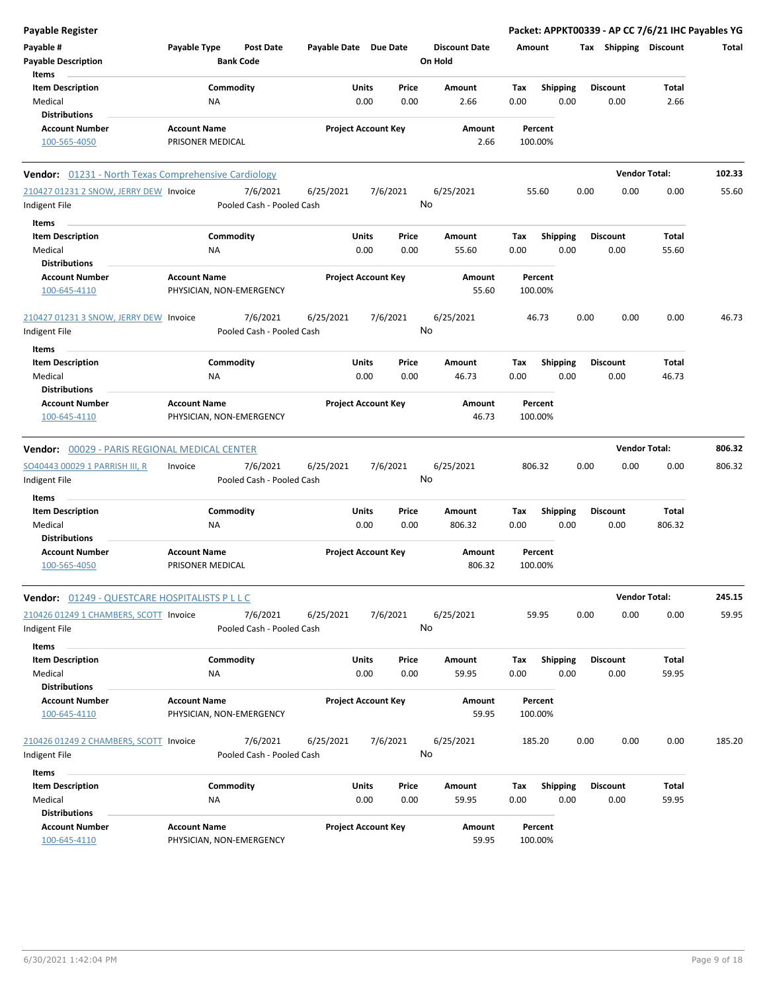| <b>Payable Register</b>                                             |                                         |                                       |                       |                            |               |                                 |             |                         |      |                         | Packet: APPKT00339 - AP CC 7/6/21 IHC Payables YG |        |
|---------------------------------------------------------------------|-----------------------------------------|---------------------------------------|-----------------------|----------------------------|---------------|---------------------------------|-------------|-------------------------|------|-------------------------|---------------------------------------------------|--------|
| Payable #<br><b>Payable Description</b>                             | Payable Type                            | <b>Post Date</b><br><b>Bank Code</b>  | Payable Date Due Date |                            |               | <b>Discount Date</b><br>On Hold | Amount      |                         |      | Tax Shipping Discount   |                                                   | Total  |
| Items<br><b>Item Description</b><br>Medical                         | NA                                      | Commodity                             |                       | Units<br>0.00              | Price<br>0.00 | Amount<br>2.66                  | Tax<br>0.00 | <b>Shipping</b><br>0.00 |      | <b>Discount</b><br>0.00 | Total<br>2.66                                     |        |
| <b>Distributions</b><br><b>Account Number</b><br>100-565-4050       | <b>Account Name</b><br>PRISONER MEDICAL |                                       |                       | <b>Project Account Key</b> |               | Amount<br>2.66                  | 100.00%     | Percent                 |      |                         |                                                   |        |
| Vendor: 01231 - North Texas Comprehensive Cardiology                |                                         |                                       |                       |                            |               |                                 |             |                         |      | <b>Vendor Total:</b>    |                                                   | 102.33 |
| 210427 01231 2 SNOW, JERRY DEW Invoice<br>Indigent File             |                                         | 7/6/2021<br>Pooled Cash - Pooled Cash | 6/25/2021             | 7/6/2021                   |               | 6/25/2021<br>No                 |             | 55.60                   | 0.00 | 0.00                    | 0.00                                              | 55.60  |
| Items<br><b>Item Description</b><br>Medical<br><b>Distributions</b> | NA                                      | Commodity                             |                       | Units<br>0.00              | Price<br>0.00 | Amount<br>55.60                 | Tax<br>0.00 | Shipping<br>0.00        |      | <b>Discount</b><br>0.00 | Total<br>55.60                                    |        |
| Account Number<br>100-645-4110                                      | <b>Account Name</b>                     | PHYSICIAN, NON-EMERGENCY              |                       | <b>Project Account Key</b> |               | <b>Amount</b><br>55.60          | 100.00%     | Percent                 |      |                         |                                                   |        |
| 210427 01231 3 SNOW, JERRY DEW Invoice<br>Indigent File             |                                         | 7/6/2021<br>Pooled Cash - Pooled Cash | 6/25/2021             | 7/6/2021                   |               | 6/25/2021<br>No                 |             | 46.73                   | 0.00 | 0.00                    | 0.00                                              | 46.73  |
| Items<br><b>Item Description</b>                                    |                                         | Commodity                             |                       | Units                      | Price         | Amount                          | Tax         | <b>Shipping</b>         |      | <b>Discount</b>         | Total                                             |        |
| Medical<br><b>Distributions</b>                                     | NA                                      |                                       |                       | 0.00                       | 0.00          | 46.73                           | 0.00        | 0.00                    |      | 0.00                    | 46.73                                             |        |
| <b>Account Number</b><br>100-645-4110                               | <b>Account Name</b>                     | PHYSICIAN, NON-EMERGENCY              |                       | <b>Project Account Key</b> |               | Amount<br>46.73                 | 100.00%     | Percent                 |      |                         |                                                   |        |
| <b>Vendor: 00029 - PARIS REGIONAL MEDICAL CENTER</b>                |                                         |                                       |                       |                            |               |                                 |             |                         |      | <b>Vendor Total:</b>    |                                                   | 806.32 |
| SO40443 00029 1 PARRISH III, R<br>Indigent File                     | Invoice                                 | 7/6/2021<br>Pooled Cash - Pooled Cash | 6/25/2021             | 7/6/2021                   |               | 6/25/2021<br>No                 | 806.32      |                         | 0.00 | 0.00                    | 0.00                                              | 806.32 |
| <b>Items</b>                                                        |                                         |                                       |                       |                            |               |                                 |             |                         |      |                         |                                                   |        |
| <b>Item Description</b><br>Medical<br><b>Distributions</b>          | NA                                      | Commodity                             |                       | Units<br>0.00              | Price<br>0.00 | Amount<br>806.32                | Tax<br>0.00 | <b>Shipping</b><br>0.00 |      | <b>Discount</b><br>0.00 | Total<br>806.32                                   |        |
| <b>Account Number</b><br>100-565-4050                               | <b>Account Name</b><br>PRISONER MEDICAL |                                       |                       | <b>Project Account Key</b> |               | Amount<br>806.32                | 100.00%     | Percent                 |      |                         |                                                   |        |
| Vendor: 01249 - QUESTCARE HOSPITALISTS P L L C                      |                                         |                                       |                       |                            |               |                                 |             |                         |      | <b>Vendor Total:</b>    |                                                   | 245.15 |
| 210426 01249 1 CHAMBERS, SCOTT Invoice<br>Indigent File             |                                         | 7/6/2021<br>Pooled Cash - Pooled Cash | 6/25/2021             | 7/6/2021                   |               | 6/25/2021<br>No                 |             | 59.95                   | 0.00 | 0.00                    | 0.00                                              | 59.95  |
| Items<br><b>Item Description</b><br>Medical                         | NA                                      | Commodity                             |                       | Units<br>0.00              | Price<br>0.00 | Amount<br>59.95                 | Tax<br>0.00 | <b>Shipping</b><br>0.00 |      | <b>Discount</b><br>0.00 | Total<br>59.95                                    |        |
| <b>Distributions</b><br><b>Account Number</b><br>100-645-4110       | <b>Account Name</b>                     | PHYSICIAN, NON-EMERGENCY              |                       | <b>Project Account Key</b> |               | <b>Amount</b><br>59.95          | 100.00%     | Percent                 |      |                         |                                                   |        |
| 210426 01249 2 CHAMBERS, SCOTT Invoice<br>Indigent File             |                                         | 7/6/2021<br>Pooled Cash - Pooled Cash | 6/25/2021             | 7/6/2021                   |               | 6/25/2021<br>No                 | 185.20      |                         | 0.00 | 0.00                    | 0.00                                              | 185.20 |
| Items<br><b>Item Description</b><br>Medical                         | NA                                      | Commodity                             |                       | Units<br>0.00              | Price<br>0.00 | Amount<br>59.95                 | Tax<br>0.00 | <b>Shipping</b><br>0.00 |      | <b>Discount</b><br>0.00 | Total<br>59.95                                    |        |
| <b>Distributions</b><br><b>Account Number</b><br>100-645-4110       | <b>Account Name</b>                     | PHYSICIAN, NON-EMERGENCY              |                       | <b>Project Account Key</b> |               | Amount<br>59.95                 | 100.00%     | Percent                 |      |                         |                                                   |        |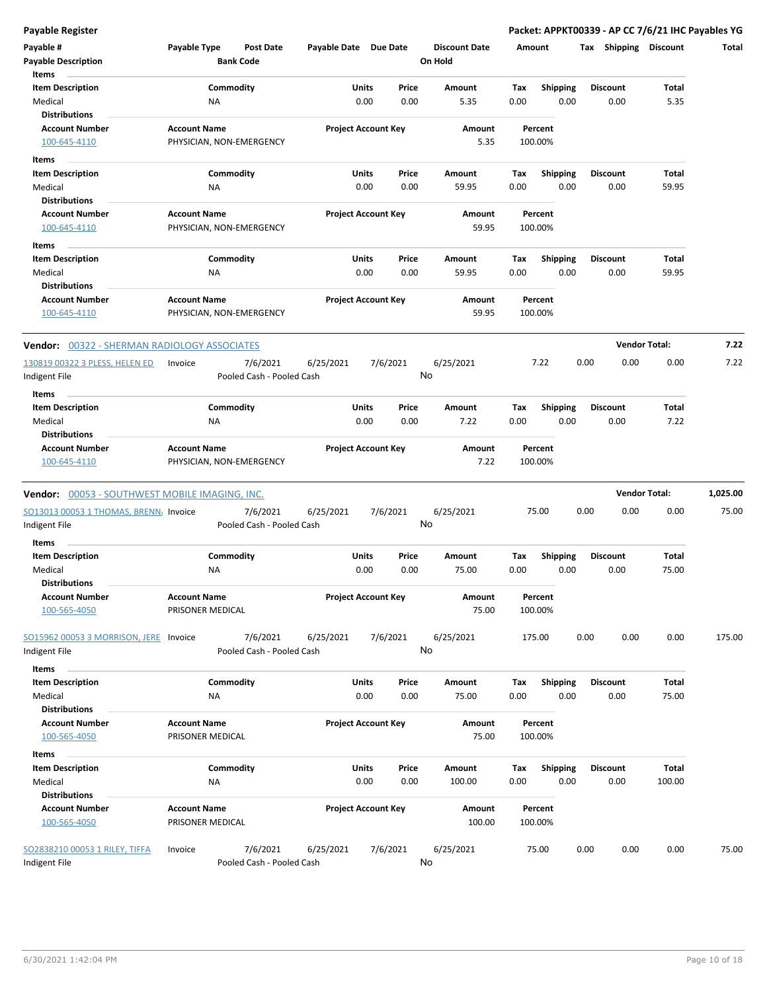| Payable #<br><b>Payable Description</b>                                  | <b>Payable Type</b>                     | <b>Post Date</b><br><b>Bank Code</b>  | Payable Date Due Date |                                            | <b>Discount Date</b><br>On Hold | Amount                     |                         | Shipping<br>Tax         | <b>Discount</b> | Total    |
|--------------------------------------------------------------------------|-----------------------------------------|---------------------------------------|-----------------------|--------------------------------------------|---------------------------------|----------------------------|-------------------------|-------------------------|-----------------|----------|
| Items<br><b>Item Description</b><br>Medical                              | ΝA                                      | Commodity                             |                       | Units<br>Price<br>0.00<br>0.00             | Amount<br>5.35                  | Tax<br>0.00                | <b>Shipping</b><br>0.00 | Discount<br>0.00        | Total<br>5.35   |          |
| <b>Distributions</b><br><b>Account Number</b><br>100-645-4110            | <b>Account Name</b>                     | PHYSICIAN, NON-EMERGENCY              |                       | <b>Project Account Key</b>                 | Amount<br>5.35                  | Percent<br>100.00%         |                         |                         |                 |          |
| Items<br><b>Item Description</b>                                         |                                         | Commodity                             |                       | Units<br>Price                             | Amount                          | Tax                        | Shipping                | <b>Discount</b>         | Total           |          |
| Medical<br><b>Distributions</b><br><b>Account Number</b><br>100-645-4110 | <b>NA</b><br><b>Account Name</b>        | PHYSICIAN, NON-EMERGENCY              |                       | 0.00<br>0.00<br><b>Project Account Key</b> | 59.95<br>Amount<br>59.95        | 0.00<br>Percent<br>100.00% | 0.00                    | 0.00                    | 59.95           |          |
| Items                                                                    |                                         |                                       |                       |                                            |                                 |                            |                         |                         |                 |          |
| <b>Item Description</b><br>Medical<br><b>Distributions</b>               | ΝA                                      | Commodity                             |                       | Units<br>Price<br>0.00<br>0.00             | Amount<br>59.95                 | Tax<br>0.00                | <b>Shipping</b><br>0.00 | Discount<br>0.00        | Total<br>59.95  |          |
| <b>Account Number</b><br>100-645-4110                                    | <b>Account Name</b>                     | PHYSICIAN, NON-EMERGENCY              |                       | <b>Project Account Key</b>                 | Amount<br>59.95                 | Percent<br>100.00%         |                         |                         |                 |          |
| <b>Vendor: 00322 - SHERMAN RADIOLOGY ASSOCIATES</b>                      |                                         |                                       |                       |                                            |                                 |                            |                         | <b>Vendor Total:</b>    |                 | 7.22     |
| 130819 00322 3 PLESS, HELEN ED<br>ndigent File                           | Invoice                                 | 7/6/2021<br>Pooled Cash - Pooled Cash | 6/25/2021             | 7/6/2021                                   | 6/25/2021<br>No                 | 7.22                       |                         | 0.00<br>0.00            | 0.00            | 7.22     |
| Items<br><b>Item Description</b><br>Medical                              | ΝA                                      | Commodity                             |                       | Units<br>Price<br>0.00<br>0.00             | Amount<br>7.22                  | Tax<br>0.00                | <b>Shipping</b><br>0.00 | Discount<br>0.00        | Total<br>7.22   |          |
| <b>Distributions</b><br><b>Account Number</b><br>100-645-4110            | <b>Account Name</b>                     | PHYSICIAN, NON-EMERGENCY              |                       | <b>Project Account Key</b>                 | Amount<br>7.22                  | Percent<br>100.00%         |                         |                         |                 |          |
| <b>Vendor:</b> 00053 - SOUTHWEST MOBILE IMAGING, INC.                    |                                         |                                       |                       |                                            |                                 |                            |                         | <b>Vendor Total:</b>    |                 | 1,025.00 |
| SO13013 00053 1 THOMAS, BRENN, Invoice<br>ndigent File                   |                                         | 7/6/2021<br>Pooled Cash - Pooled Cash | 6/25/2021             | 7/6/2021                                   | 6/25/2021<br>No                 | 75.00                      |                         | 0.00<br>0.00            | 0.00            | 75.00    |
| Items<br><b>Item Description</b>                                         |                                         | Commodity                             |                       | Units<br>Price                             | Amount                          | Tax                        | <b>Shipping</b>         | <b>Discount</b>         | Total           |          |
| Medical<br><b>Distributions</b>                                          | ΝA                                      |                                       |                       | 0.00<br>0.00                               | 75.00                           | 0.00                       | 0.00                    | 0.00                    | 75.00           |          |
| <b>Account Number</b><br>100-565-4050                                    | <b>Account Name</b><br>PRISONER MEDICAL |                                       |                       | <b>Project Account Key</b>                 | Amount<br>75.00                 | Percent<br>100.00%         |                         |                         |                 |          |
| SO15962 00053 3 MORRISON, JERE<br>Indigent File                          | Invoice                                 | 7/6/2021<br>Pooled Cash - Pooled Cash | 6/25/2021             | 7/6/2021                                   | 6/25/2021<br>No                 | 175.00                     |                         | 0.00<br>0.00            | 0.00            | 175.00   |
| Items<br><b>Item Description</b><br>Medical<br><b>Distributions</b>      | ΝA                                      | Commodity                             |                       | <b>Units</b><br>Price<br>0.00<br>0.00      | Amount<br>75.00                 | Tax<br>0.00                | <b>Shipping</b><br>0.00 | <b>Discount</b><br>0.00 | Total<br>75.00  |          |
| <b>Account Number</b><br>100-565-4050                                    | <b>Account Name</b><br>PRISONER MEDICAL |                                       |                       | <b>Project Account Key</b>                 | Amount<br>75.00                 | Percent<br>100.00%         |                         |                         |                 |          |
| Items<br><b>Item Description</b><br>Medical<br><b>Distributions</b>      | NA                                      | Commodity                             |                       | Units<br>Price<br>0.00<br>0.00             | Amount<br>100.00                | Tax<br>0.00                | <b>Shipping</b><br>0.00 | Discount<br>0.00        | Total<br>100.00 |          |
| <b>Account Number</b><br>100-565-4050                                    | <b>Account Name</b><br>PRISONER MEDICAL |                                       |                       | <b>Project Account Key</b>                 | Amount<br>100.00                | Percent<br>100.00%         |                         |                         |                 |          |
| SO2838210 00053 1 RILEY, TIFFA<br>Indigent File                          | Invoice                                 | 7/6/2021<br>Pooled Cash - Pooled Cash | 6/25/2021             | 7/6/2021                                   | 6/25/2021<br>No                 | 75.00                      |                         | 0.00<br>0.00            | 0.00            | 75.00    |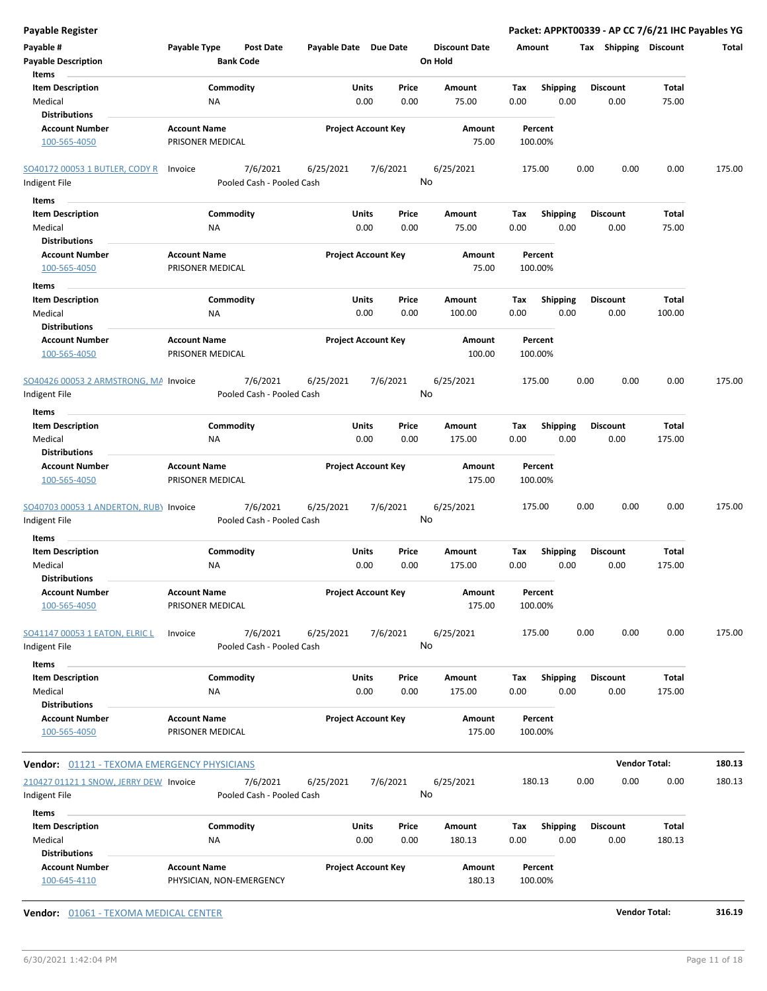| <b>Payable Register</b>                                             |                                         |                                       |                       |                            |                |                                 |                    |                         |      |                         | Packet: APPKT00339 - AP CC 7/6/21 IHC Payables YG |        |
|---------------------------------------------------------------------|-----------------------------------------|---------------------------------------|-----------------------|----------------------------|----------------|---------------------------------|--------------------|-------------------------|------|-------------------------|---------------------------------------------------|--------|
| Payable #<br><b>Payable Description</b>                             | Payable Type                            | <b>Post Date</b><br><b>Bank Code</b>  | Payable Date Due Date |                            |                | <b>Discount Date</b><br>On Hold | Amount             |                         |      |                         | Tax Shipping Discount                             | Total  |
| Items<br><b>Item Description</b><br>Medical<br><b>Distributions</b> |                                         | Commodity<br><b>NA</b>                |                       | Units<br>0.00              | Price<br>0.00  | Amount<br>75.00                 | Tax<br>0.00        | <b>Shipping</b><br>0.00 |      | <b>Discount</b><br>0.00 | Total<br>75.00                                    |        |
| <b>Account Number</b><br>100-565-4050                               | <b>Account Name</b><br>PRISONER MEDICAL |                                       |                       | <b>Project Account Key</b> |                | Amount<br>75.00                 | Percent<br>100.00% |                         |      |                         |                                                   |        |
| <b>SO40172 00053 1 BUTLER, CODY R</b><br>Indigent File              | Invoice                                 | 7/6/2021<br>Pooled Cash - Pooled Cash | 6/25/2021             |                            | 7/6/2021<br>No | 6/25/2021                       | 175.00             |                         | 0.00 | 0.00                    | 0.00                                              | 175.00 |
| Items                                                               |                                         |                                       |                       |                            |                |                                 |                    |                         |      |                         |                                                   |        |
| <b>Item Description</b>                                             |                                         | Commodity                             |                       | Units                      | Price          | Amount                          | Tax                | <b>Shipping</b>         |      | <b>Discount</b>         | Total                                             |        |
| Medical<br><b>Distributions</b>                                     |                                         | ΝA                                    |                       | 0.00                       | 0.00           | 75.00                           | 0.00               | 0.00                    |      | 0.00                    | 75.00                                             |        |
| <b>Account Number</b><br>100-565-4050                               | <b>Account Name</b><br>PRISONER MEDICAL |                                       |                       | <b>Project Account Key</b> |                | Amount<br>75.00                 | Percent<br>100.00% |                         |      |                         |                                                   |        |
| Items                                                               |                                         |                                       |                       |                            |                |                                 |                    |                         |      |                         |                                                   |        |
| <b>Item Description</b><br>Medical                                  |                                         | Commodity<br><b>NA</b>                |                       | <b>Units</b><br>0.00       | Price<br>0.00  | <b>Amount</b><br>100.00         | Tax<br>0.00        | <b>Shipping</b><br>0.00 |      | <b>Discount</b><br>0.00 | Total<br>100.00                                   |        |
| <b>Distributions</b><br><b>Account Number</b><br>100-565-4050       | <b>Account Name</b><br>PRISONER MEDICAL |                                       |                       | <b>Project Account Key</b> |                | Amount<br>100.00                | Percent<br>100.00% |                         |      |                         |                                                   |        |
| SO40426 00053 2 ARMSTRONG, MA Invoice                               |                                         | 7/6/2021                              | 6/25/2021             |                            | 7/6/2021<br>No | 6/25/2021                       | 175.00             |                         | 0.00 | 0.00                    | 0.00                                              | 175.00 |
| Indigent File                                                       |                                         | Pooled Cash - Pooled Cash             |                       |                            |                |                                 |                    |                         |      |                         |                                                   |        |
| Items<br><b>Item Description</b><br>Medical                         |                                         | Commodity<br>NA                       |                       | Units<br>0.00              | Price<br>0.00  | Amount<br>175.00                | Тах<br>0.00        | <b>Shipping</b><br>0.00 |      | <b>Discount</b><br>0.00 | Total<br>175.00                                   |        |
| <b>Distributions</b>                                                |                                         |                                       |                       |                            |                |                                 |                    |                         |      |                         |                                                   |        |
| <b>Account Number</b><br>100-565-4050                               | <b>Account Name</b><br>PRISONER MEDICAL |                                       |                       | <b>Project Account Key</b> |                | Amount<br>175.00                | Percent<br>100.00% |                         |      |                         |                                                   |        |
| SO40703 00053 1 ANDERTON, RUB) Invoice<br>Indigent File             |                                         | 7/6/2021<br>Pooled Cash - Pooled Cash | 6/25/2021             |                            | 7/6/2021<br>No | 6/25/2021                       | 175.00             |                         | 0.00 | 0.00                    | 0.00                                              | 175.00 |
| Items                                                               |                                         |                                       |                       |                            |                |                                 |                    |                         |      |                         |                                                   |        |
| <b>Item Description</b><br>Medical<br><b>Distributions</b>          |                                         | Commodity<br><b>NA</b>                |                       | Units<br>0.00              | Price<br>0.00  | Amount<br>175.00                | Tax<br>0.00        | <b>Shipping</b><br>0.00 |      | <b>Discount</b><br>0.00 | Total<br>175.00                                   |        |
| <b>Account Number</b><br>100-565-4050                               | <b>Account Name</b><br>PRISONER MEDICAL |                                       |                       | <b>Project Account Key</b> |                | Amount<br>175.00                | Percent<br>100.00% |                         |      |                         |                                                   |        |
| <b>SO41147 00053 1 EATON, ELRIC L</b><br>Indigent File              | Invoice                                 | 7/6/2021<br>Pooled Cash - Pooled Cash | 6/25/2021             |                            | 7/6/2021<br>No | 6/25/2021                       | 175.00             |                         | 0.00 | 0.00                    | 0.00                                              | 175.00 |
| Items                                                               |                                         |                                       |                       |                            |                |                                 |                    |                         |      |                         |                                                   |        |
| <b>Item Description</b>                                             |                                         | Commodity                             |                       | Units                      | Price          | Amount                          | Tax                | <b>Shipping</b>         |      | <b>Discount</b>         | Total                                             |        |
| Medical<br><b>Distributions</b>                                     |                                         | NA                                    |                       | 0.00                       | 0.00           | 175.00                          | 0.00               | 0.00                    |      | 0.00                    | 175.00                                            |        |
| <b>Account Number</b><br>100-565-4050                               | <b>Account Name</b><br>PRISONER MEDICAL |                                       |                       | <b>Project Account Key</b> |                | <b>Amount</b><br>175.00         | Percent<br>100.00% |                         |      |                         |                                                   |        |
| <b>Vendor: 01121 - TEXOMA EMERGENCY PHYSICIANS</b>                  |                                         |                                       |                       |                            |                |                                 |                    |                         |      |                         | <b>Vendor Total:</b>                              | 180.13 |
| 210427 01121 1 SNOW, JERRY DEW Invoice                              |                                         | 7/6/2021                              | 6/25/2021             |                            | 7/6/2021       | 6/25/2021                       | 180.13             |                         | 0.00 | 0.00                    | 0.00                                              | 180.13 |
| Indigent File                                                       |                                         | Pooled Cash - Pooled Cash             |                       |                            | No             |                                 |                    |                         |      |                         |                                                   |        |
| Items                                                               |                                         |                                       |                       |                            |                |                                 |                    |                         |      |                         |                                                   |        |
| <b>Item Description</b>                                             |                                         | Commodity                             |                       | Units                      | Price          | Amount                          | Tax                | <b>Shipping</b>         |      | <b>Discount</b>         | Total                                             |        |
| Medical<br><b>Distributions</b>                                     |                                         | <b>NA</b>                             |                       | 0.00                       | 0.00           | 180.13                          | 0.00               | 0.00                    |      | 0.00                    | 180.13                                            |        |
| <b>Account Number</b><br>100-645-4110                               | <b>Account Name</b>                     | PHYSICIAN, NON-EMERGENCY              |                       | <b>Project Account Key</b> |                | Amount<br>180.13                | Percent<br>100.00% |                         |      |                         |                                                   |        |

**Vendor:** 01061 - TEXOMA MEDICAL CENTER **Vendor Total: 316.19**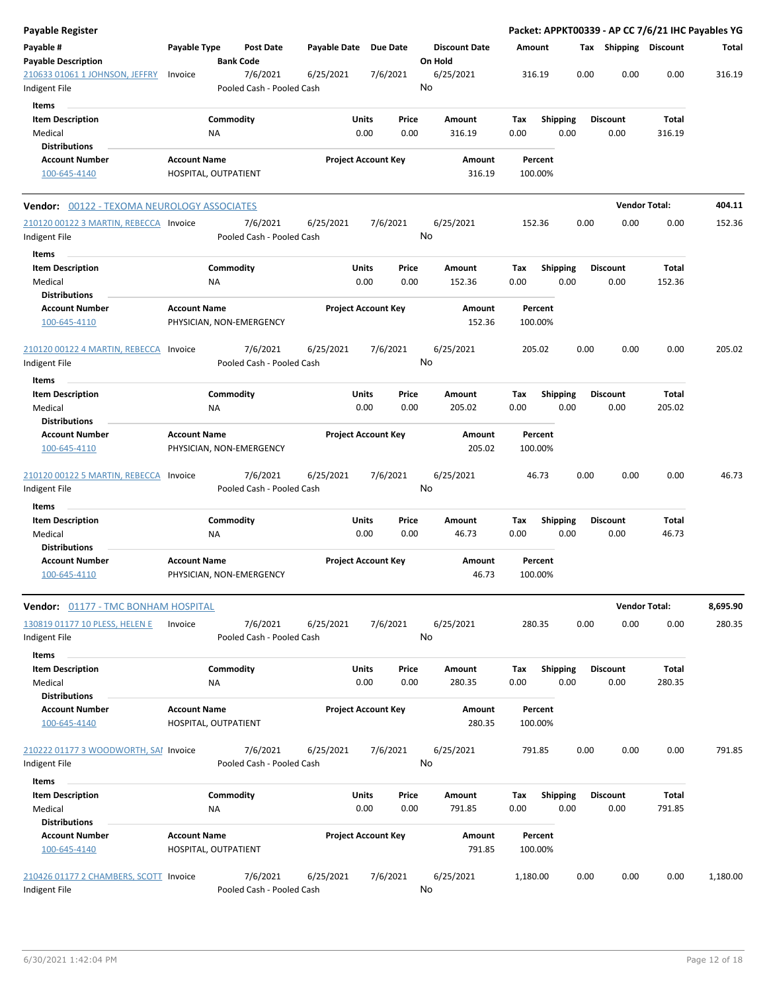| <b>Payable Register</b>                                 |                     |                                       |                       |                                |                                 |                    |                         | Packet: APPKT00339 - AP CC 7/6/21 IHC Payables YG |                        |          |
|---------------------------------------------------------|---------------------|---------------------------------------|-----------------------|--------------------------------|---------------------------------|--------------------|-------------------------|---------------------------------------------------|------------------------|----------|
| Payable #<br><b>Payable Description</b>                 | Payable Type        | Post Date<br><b>Bank Code</b>         | Payable Date Due Date |                                | <b>Discount Date</b><br>On Hold | Amount             |                         | Tax Shipping Discount                             |                        | Total    |
| 210633 01061 1 JOHNSON, JEFFRY<br>Indigent File         | Invoice             | 7/6/2021<br>Pooled Cash - Pooled Cash | 6/25/2021             | 7/6/2021                       | 6/25/2021<br>No                 | 316.19             |                         | 0.00<br>0.00                                      | 0.00                   | 316.19   |
| Items                                                   |                     |                                       |                       |                                |                                 |                    |                         |                                                   |                        |          |
| <b>Item Description</b>                                 |                     | Commodity                             |                       | Units<br>Price                 | Amount                          | Tax                | <b>Shipping</b>         | <b>Discount</b>                                   | <b>Total</b>           |          |
| Medical                                                 |                     | NA                                    |                       | 0.00<br>0.00                   | 316.19                          | 0.00               | 0.00                    | 0.00                                              | 316.19                 |          |
| <b>Distributions</b>                                    |                     |                                       |                       |                                |                                 |                    |                         |                                                   |                        |          |
| <b>Account Number</b>                                   | <b>Account Name</b> |                                       |                       | <b>Project Account Key</b>     | Amount                          | Percent            |                         |                                                   |                        |          |
| 100-645-4140                                            |                     | HOSPITAL, OUTPATIENT                  |                       |                                | 316.19                          | 100.00%            |                         |                                                   |                        |          |
| Vendor: 00122 - TEXOMA NEUROLOGY ASSOCIATES             |                     |                                       |                       |                                |                                 |                    |                         |                                                   | <b>Vendor Total:</b>   | 404.11   |
| 210120 00122 3 MARTIN, REBECCA Invoice<br>Indigent File |                     | 7/6/2021<br>Pooled Cash - Pooled Cash | 6/25/2021             | 7/6/2021                       | 6/25/2021<br>No                 | 152.36             |                         | 0.00<br>0.00                                      | 0.00                   | 152.36   |
|                                                         |                     |                                       |                       |                                |                                 |                    |                         |                                                   |                        |          |
| Items                                                   |                     |                                       |                       |                                |                                 |                    |                         |                                                   |                        |          |
| <b>Item Description</b>                                 |                     | Commodity                             |                       | Units<br>Price                 | Amount                          | Tax                | Shipping                | <b>Discount</b>                                   | <b>Total</b>           |          |
| Medical                                                 |                     | <b>NA</b>                             |                       | 0.00<br>0.00                   | 152.36                          | 0.00               | 0.00                    | 0.00                                              | 152.36                 |          |
| <b>Distributions</b>                                    |                     |                                       |                       |                                |                                 |                    |                         |                                                   |                        |          |
| <b>Account Number</b><br>100-645-4110                   | <b>Account Name</b> | PHYSICIAN, NON-EMERGENCY              |                       | <b>Project Account Key</b>     | Amount<br>152.36                | Percent<br>100.00% |                         |                                                   |                        |          |
| 210120 00122 4 MARTIN, REBECCA<br>Indigent File         | Invoice             | 7/6/2021<br>Pooled Cash - Pooled Cash | 6/25/2021             | 7/6/2021                       | 6/25/2021<br>No                 | 205.02             |                         | 0.00<br>0.00                                      | 0.00                   | 205.02   |
|                                                         |                     |                                       |                       |                                |                                 |                    |                         |                                                   |                        |          |
| Items                                                   |                     |                                       |                       |                                |                                 |                    |                         |                                                   |                        |          |
| <b>Item Description</b>                                 |                     | Commodity                             |                       | Units<br>Price                 | Amount                          | Тах                | <b>Shipping</b>         | <b>Discount</b>                                   | Total                  |          |
| Medical                                                 |                     | NA                                    |                       | 0.00<br>0.00                   | 205.02                          | 0.00               | 0.00                    | 0.00                                              | 205.02                 |          |
| <b>Distributions</b>                                    |                     |                                       |                       |                                |                                 |                    |                         |                                                   |                        |          |
| <b>Account Number</b>                                   | <b>Account Name</b> |                                       |                       | <b>Project Account Key</b>     | Amount                          | Percent            |                         |                                                   |                        |          |
| 100-645-4110                                            |                     | PHYSICIAN, NON-EMERGENCY              |                       |                                | 205.02                          | 100.00%            |                         |                                                   |                        |          |
| 210120 00122 5 MARTIN, REBECCA Invoice<br>Indigent File |                     | 7/6/2021<br>Pooled Cash - Pooled Cash | 6/25/2021             | 7/6/2021                       | 6/25/2021<br>No                 | 46.73              |                         | 0.00<br>0.00                                      | 0.00                   | 46.73    |
| Items                                                   |                     |                                       |                       |                                |                                 |                    |                         |                                                   |                        |          |
| <b>Item Description</b>                                 |                     | Commodity                             |                       | Units<br>Price                 | Amount                          | Tax                | <b>Shipping</b>         | <b>Discount</b>                                   | Total                  |          |
| Medical                                                 |                     | <b>NA</b>                             |                       | 0.00<br>0.00                   | 46.73                           | 0.00               | 0.00                    | 0.00                                              | 46.73                  |          |
| <b>Distributions</b>                                    |                     |                                       |                       |                                |                                 |                    |                         |                                                   |                        |          |
| <b>Account Number</b><br>100-645-4110                   | <b>Account Name</b> | PHYSICIAN, NON-EMERGENCY              |                       | <b>Project Account Key</b>     | Amount<br>46.73                 | Percent<br>100.00% |                         |                                                   |                        |          |
| Vendor: 01177 - TMC BONHAM HOSPITAL                     |                     |                                       |                       |                                |                                 |                    |                         |                                                   | <b>Vendor Total:</b>   | 8,695.90 |
| 130819 01177 10 PLESS, HELEN E<br>Indigent File         | Invoice             | 7/6/2021<br>Pooled Cash - Pooled Cash | 6/25/2021             | 7/6/2021                       | 6/25/2021<br>No                 | 280.35             |                         | 0.00<br>0.00                                      | 0.00                   | 280.35   |
| Items                                                   |                     |                                       |                       |                                |                                 |                    |                         |                                                   |                        |          |
| <b>Item Description</b><br>Medical                      |                     | Commodity<br><b>NA</b>                |                       | Units<br>Price<br>0.00<br>0.00 | Amount<br>280.35                | Tax<br>0.00        | <b>Shipping</b><br>0.00 | <b>Discount</b><br>0.00                           | <b>Total</b><br>280.35 |          |
| <b>Distributions</b>                                    |                     |                                       |                       |                                |                                 |                    |                         |                                                   |                        |          |
| <b>Account Number</b><br>100-645-4140                   | <b>Account Name</b> | HOSPITAL, OUTPATIENT                  |                       | <b>Project Account Key</b>     | Amount<br>280.35                | Percent<br>100.00% |                         |                                                   |                        |          |
|                                                         |                     |                                       |                       |                                |                                 |                    |                         |                                                   |                        |          |
| 210222 01177 3 WOODWORTH, SAI Invoice<br>Indigent File  |                     | 7/6/2021<br>Pooled Cash - Pooled Cash | 6/25/2021             | 7/6/2021                       | 6/25/2021<br>No                 | 791.85             |                         | 0.00<br>0.00                                      | 0.00                   | 791.85   |
| Items                                                   |                     |                                       |                       |                                |                                 |                    |                         |                                                   |                        |          |
| <b>Item Description</b><br>Medical                      |                     | Commodity<br>NA                       |                       | Units<br>Price<br>0.00<br>0.00 | Amount<br>791.85                | Tax<br>0.00        | <b>Shipping</b><br>0.00 | <b>Discount</b><br>0.00                           | <b>Total</b><br>791.85 |          |
| <b>Distributions</b>                                    |                     |                                       |                       |                                |                                 |                    |                         |                                                   |                        |          |
| <b>Account Number</b><br>100-645-4140                   | <b>Account Name</b> | HOSPITAL, OUTPATIENT                  |                       | <b>Project Account Key</b>     | Amount<br>791.85                | Percent<br>100.00% |                         |                                                   |                        |          |
| 210426 01177 2 CHAMBERS, SCOTT Invoice<br>Indigent File |                     | 7/6/2021<br>Pooled Cash - Pooled Cash | 6/25/2021             | 7/6/2021                       | 6/25/2021<br>No                 | 1,180.00           |                         | 0.00<br>0.00                                      | 0.00                   | 1,180.00 |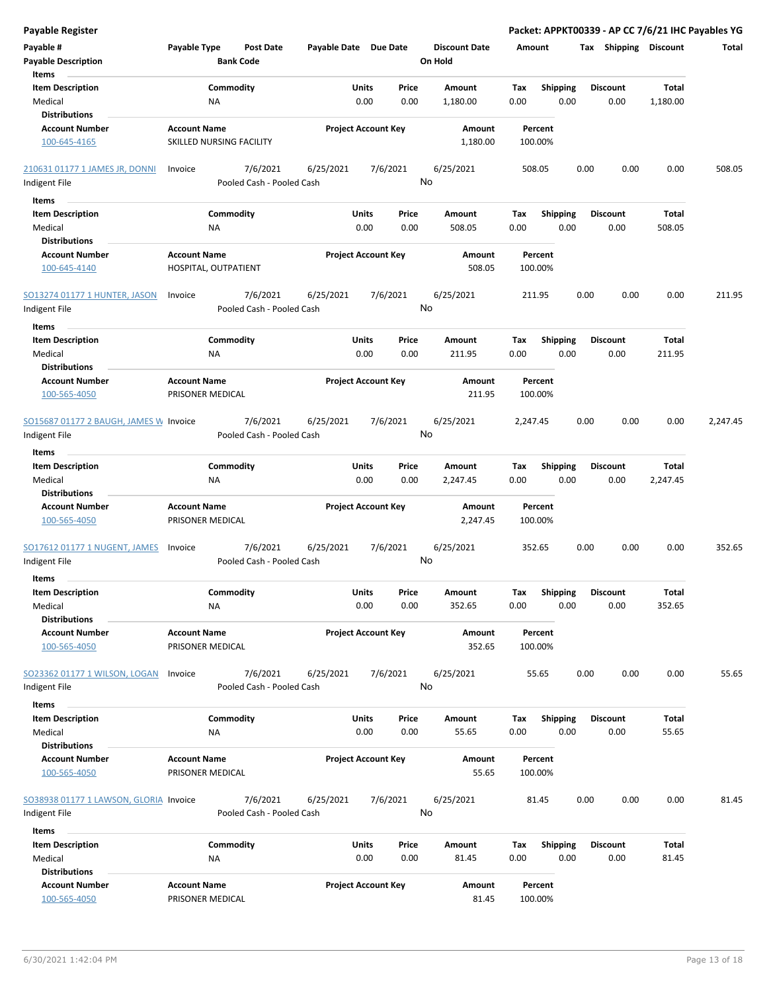| <b>Payable Register</b>                                 |                                         |                                       |                       |                            |               |                                 |             |                         |      |                              | Packet: APPKT00339 - AP CC 7/6/21 IHC Payables YG |          |
|---------------------------------------------------------|-----------------------------------------|---------------------------------------|-----------------------|----------------------------|---------------|---------------------------------|-------------|-------------------------|------|------------------------------|---------------------------------------------------|----------|
| Payable #<br><b>Payable Description</b>                 | Payable Type                            | <b>Post Date</b><br><b>Bank Code</b>  | Payable Date Due Date |                            |               | <b>Discount Date</b><br>On Hold | Amount      |                         |      | <b>Tax Shipping Discount</b> |                                                   | Total    |
| Items<br><b>Item Description</b>                        | Commodity                               |                                       |                       | Units                      | Price         | Amount                          | Tax         | <b>Shipping</b>         |      | <b>Discount</b>              | <b>Total</b>                                      |          |
| Medical                                                 | <b>NA</b>                               |                                       |                       | 0.00                       | 0.00          | 1,180.00                        | 0.00        | 0.00                    |      | 0.00                         | 1,180.00                                          |          |
| <b>Distributions</b>                                    |                                         |                                       |                       |                            |               |                                 |             |                         |      |                              |                                                   |          |
| <b>Account Number</b>                                   | <b>Account Name</b>                     |                                       |                       | <b>Project Account Key</b> |               | Amount                          |             | Percent                 |      |                              |                                                   |          |
| 100-645-4165                                            | SKILLED NURSING FACILITY                |                                       |                       |                            |               | 1,180.00                        |             | 100.00%                 |      |                              |                                                   |          |
| 210631 01177 1 JAMES JR, DONNI                          | Invoice                                 | 7/6/2021                              | 6/25/2021             |                            | 7/6/2021      | 6/25/2021                       |             | 508.05                  | 0.00 | 0.00                         | 0.00                                              | 508.05   |
| Indigent File                                           |                                         | Pooled Cash - Pooled Cash             |                       |                            |               | No                              |             |                         |      |                              |                                                   |          |
| Items                                                   |                                         |                                       |                       |                            |               |                                 |             |                         |      |                              |                                                   |          |
| <b>Item Description</b>                                 | Commodity                               |                                       |                       | Units                      | Price         | Amount                          | Tax         | <b>Shipping</b>         |      | <b>Discount</b>              | Total                                             |          |
| Medical                                                 | <b>NA</b>                               |                                       |                       | 0.00                       | 0.00          | 508.05                          | 0.00        | 0.00                    |      | 0.00                         | 508.05                                            |          |
| <b>Distributions</b>                                    |                                         |                                       |                       |                            |               |                                 |             |                         |      |                              |                                                   |          |
| <b>Account Number</b>                                   | <b>Account Name</b>                     |                                       |                       | <b>Project Account Key</b> |               | Amount                          |             | Percent                 |      |                              |                                                   |          |
| 100-645-4140                                            | HOSPITAL, OUTPATIENT                    |                                       |                       |                            |               | 508.05                          |             | 100.00%                 |      |                              |                                                   |          |
| SO13274 01177 1 HUNTER, JASON                           | Invoice                                 | 7/6/2021                              | 6/25/2021             |                            | 7/6/2021      | 6/25/2021                       |             | 211.95                  | 0.00 | 0.00                         | 0.00                                              | 211.95   |
| Indigent File                                           |                                         | Pooled Cash - Pooled Cash             |                       |                            |               | No                              |             |                         |      |                              |                                                   |          |
| Items                                                   |                                         |                                       |                       |                            |               |                                 |             |                         |      |                              |                                                   |          |
| <b>Item Description</b><br>Medical                      | Commodity<br><b>NA</b>                  |                                       |                       | Units<br>0.00              | Price<br>0.00 | Amount<br>211.95                | Tax<br>0.00 | <b>Shipping</b><br>0.00 |      | <b>Discount</b><br>0.00      | Total<br>211.95                                   |          |
| <b>Distributions</b>                                    |                                         |                                       |                       |                            |               |                                 |             |                         |      |                              |                                                   |          |
| <b>Account Number</b><br>100-565-4050                   | <b>Account Name</b><br>PRISONER MEDICAL |                                       |                       | <b>Project Account Key</b> |               | Amount<br>211.95                |             | Percent<br>100.00%      |      |                              |                                                   |          |
| SO15687 01177 2 BAUGH, JAMES W Invoice                  |                                         | 7/6/2021                              | 6/25/2021             |                            | 7/6/2021      | 6/25/2021                       | 2,247.45    |                         | 0.00 | 0.00                         | 0.00                                              | 2,247.45 |
| Indigent File                                           |                                         | Pooled Cash - Pooled Cash             |                       |                            |               | No                              |             |                         |      |                              |                                                   |          |
| Items                                                   |                                         |                                       |                       |                            |               |                                 |             |                         |      |                              |                                                   |          |
| <b>Item Description</b>                                 | Commodity                               |                                       |                       | Units                      | Price         | Amount                          | Tax         | <b>Shipping</b>         |      | <b>Discount</b>              | Total                                             |          |
| Medical                                                 | <b>NA</b>                               |                                       |                       | 0.00                       | 0.00          | 2,247.45                        | 0.00        | 0.00                    |      | 0.00                         | 2,247.45                                          |          |
| <b>Distributions</b>                                    |                                         |                                       |                       |                            |               |                                 |             |                         |      |                              |                                                   |          |
| <b>Account Number</b>                                   | <b>Account Name</b>                     |                                       |                       | <b>Project Account Key</b> |               | Amount                          |             | Percent                 |      |                              |                                                   |          |
| 100-565-4050                                            | PRISONER MEDICAL                        |                                       |                       |                            |               | 2,247.45                        |             | 100.00%                 |      |                              |                                                   |          |
| SO17612 01177 1 NUGENT, JAMES                           | Invoice                                 | 7/6/2021                              | 6/25/2021             |                            | 7/6/2021      | 6/25/2021                       |             | 352.65                  | 0.00 | 0.00                         | 0.00                                              | 352.65   |
| Indigent File                                           |                                         | Pooled Cash - Pooled Cash             |                       |                            |               | No                              |             |                         |      |                              |                                                   |          |
| Items                                                   |                                         |                                       |                       |                            |               |                                 |             |                         |      |                              |                                                   |          |
| <b>Item Description</b>                                 | Commodity                               |                                       |                       | Units                      | Price         | Amount                          | Tax         | Shipping                |      | <b>Discount</b>              | Total                                             |          |
| Medical                                                 | <b>NA</b>                               |                                       |                       | 0.00                       | 0.00          | 352.65                          | 0.00        | 0.00                    |      | 0.00                         | 352.65                                            |          |
| <b>Distributions</b>                                    |                                         |                                       |                       |                            |               |                                 |             |                         |      |                              |                                                   |          |
| <b>Account Number</b><br>100-565-4050                   | <b>Account Name</b><br>PRISONER MEDICAL |                                       |                       | <b>Project Account Key</b> |               | Amount<br>352.65                |             | Percent<br>100.00%      |      |                              |                                                   |          |
| SO23362 01177 1 WILSON, LOGAN<br>Indigent File          | Invoice                                 | 7/6/2021<br>Pooled Cash - Pooled Cash | 6/25/2021             |                            | 7/6/2021      | 6/25/2021<br>No                 |             | 55.65                   | 0.00 | 0.00                         | 0.00                                              | 55.65    |
| Items                                                   |                                         |                                       |                       |                            |               |                                 |             |                         |      |                              |                                                   |          |
| <b>Item Description</b>                                 | Commodity                               |                                       |                       | Units                      | Price         | Amount                          | Тах         | Shipping                |      | <b>Discount</b>              | Total                                             |          |
| Medical                                                 | NA                                      |                                       |                       | 0.00                       | 0.00          | 55.65                           | 0.00        | 0.00                    |      | 0.00                         | 55.65                                             |          |
| <b>Distributions</b>                                    |                                         |                                       |                       |                            |               |                                 |             |                         |      |                              |                                                   |          |
| <b>Account Number</b>                                   | <b>Account Name</b>                     |                                       |                       | <b>Project Account Key</b> |               | Amount                          |             | Percent                 |      |                              |                                                   |          |
| 100-565-4050                                            | PRISONER MEDICAL                        |                                       |                       |                            |               | 55.65                           |             | 100.00%                 |      |                              |                                                   |          |
| SO38938 01177 1 LAWSON, GLORIA Invoice<br>Indigent File |                                         | 7/6/2021<br>Pooled Cash - Pooled Cash | 6/25/2021             |                            | 7/6/2021      | 6/25/2021<br>No                 |             | 81.45                   | 0.00 | 0.00                         | 0.00                                              | 81.45    |
| Items                                                   |                                         |                                       |                       |                            |               |                                 |             |                         |      |                              |                                                   |          |
| <b>Item Description</b>                                 | Commodity                               |                                       |                       | Units                      | Price         | Amount                          | Tax         | <b>Shipping</b>         |      | <b>Discount</b>              | Total                                             |          |
| Medical                                                 | <b>NA</b>                               |                                       |                       | 0.00                       | 0.00          | 81.45                           | 0.00        | 0.00                    |      | 0.00                         | 81.45                                             |          |
| <b>Distributions</b>                                    |                                         |                                       |                       |                            |               |                                 |             |                         |      |                              |                                                   |          |
| <b>Account Number</b>                                   | <b>Account Name</b>                     |                                       |                       | <b>Project Account Key</b> |               | Amount                          |             | Percent                 |      |                              |                                                   |          |
| 100-565-4050                                            | PRISONER MEDICAL                        |                                       |                       |                            |               | 81.45                           |             | 100.00%                 |      |                              |                                                   |          |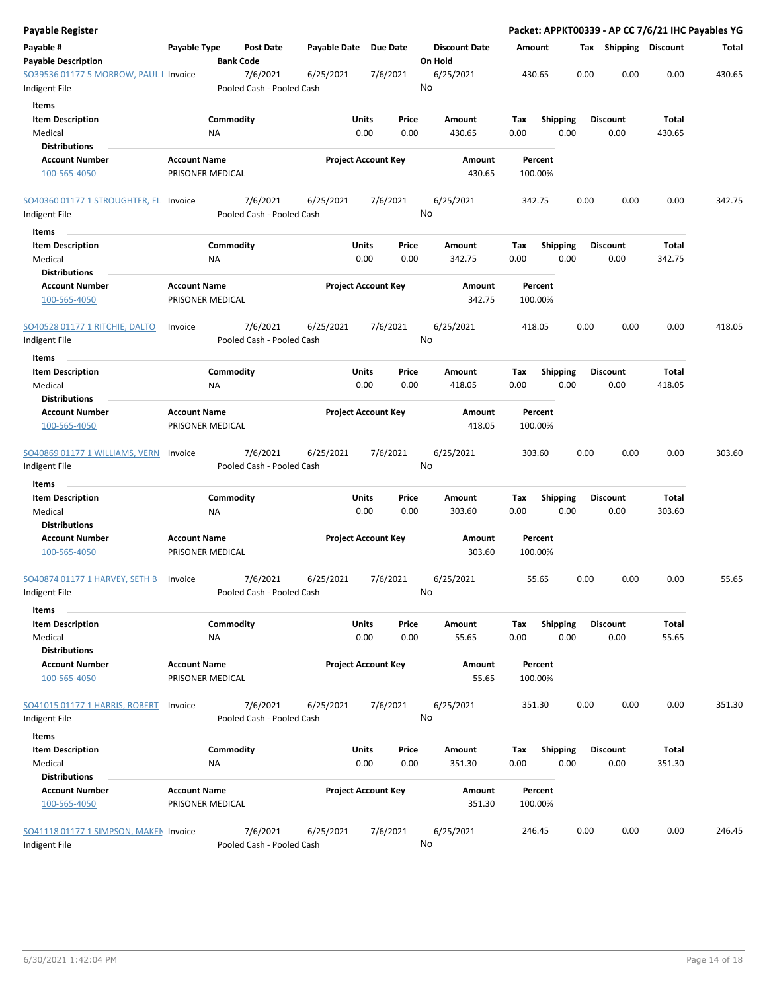| Payable Register                        |                                         |                  |                                       |                       |                            |          |                                 |        |                    |      |      |                       |              | Packet: APPKT00339 - AP CC 7/6/21 IHC Payables YG |
|-----------------------------------------|-----------------------------------------|------------------|---------------------------------------|-----------------------|----------------------------|----------|---------------------------------|--------|--------------------|------|------|-----------------------|--------------|---------------------------------------------------|
| Payable #<br><b>Payable Description</b> | Payable Type                            | <b>Bank Code</b> | <b>Post Date</b>                      | Payable Date Due Date |                            |          | <b>Discount Date</b><br>On Hold | Amount |                    |      |      | Tax Shipping Discount |              | Total                                             |
| SO39536 01177 5 MORROW, PAUL   Invoice  |                                         |                  | 7/6/2021                              | 6/25/2021             |                            | 7/6/2021 | 6/25/2021                       |        | 430.65             |      | 0.00 | 0.00                  | 0.00         | 430.65                                            |
| Indigent File                           |                                         |                  | Pooled Cash - Pooled Cash             |                       |                            |          | No                              |        |                    |      |      |                       |              |                                                   |
| Items                                   |                                         |                  |                                       |                       |                            |          |                                 |        |                    |      |      |                       |              |                                                   |
| <b>Item Description</b>                 |                                         | Commodity        |                                       |                       | Units                      | Price    | Amount                          | Tax    | <b>Shipping</b>    |      |      | <b>Discount</b>       | Total        |                                                   |
| Medical                                 |                                         | <b>NA</b>        |                                       |                       | 0.00                       | 0.00     | 430.65                          | 0.00   |                    | 0.00 |      | 0.00                  | 430.65       |                                                   |
| <b>Distributions</b>                    |                                         |                  |                                       |                       |                            |          |                                 |        |                    |      |      |                       |              |                                                   |
| <b>Account Number</b>                   | <b>Account Name</b>                     |                  |                                       |                       | <b>Project Account Key</b> |          | Amount                          |        | Percent            |      |      |                       |              |                                                   |
| 100-565-4050                            | PRISONER MEDICAL                        |                  |                                       |                       |                            |          | 430.65                          |        | 100.00%            |      |      |                       |              |                                                   |
| SO40360 01177 1 STROUGHTER, EL Invoice  |                                         |                  | 7/6/2021<br>Pooled Cash - Pooled Cash | 6/25/2021             |                            | 7/6/2021 | 6/25/2021<br>No                 |        | 342.75             |      | 0.00 | 0.00                  | 0.00         | 342.75                                            |
| Indigent File<br>Items                  |                                         |                  |                                       |                       |                            |          |                                 |        |                    |      |      |                       |              |                                                   |
| <b>Item Description</b>                 |                                         | Commodity        |                                       |                       | Units                      | Price    | Amount                          | Tax    | <b>Shipping</b>    |      |      | <b>Discount</b>       | Total        |                                                   |
| Medical                                 |                                         | ΝA               |                                       |                       | 0.00                       | 0.00     | 342.75                          | 0.00   |                    | 0.00 |      | 0.00                  | 342.75       |                                                   |
| <b>Distributions</b>                    |                                         |                  |                                       |                       |                            |          |                                 |        |                    |      |      |                       |              |                                                   |
|                                         |                                         |                  |                                       |                       |                            |          |                                 |        |                    |      |      |                       |              |                                                   |
| <b>Account Number</b><br>100-565-4050   | <b>Account Name</b><br>PRISONER MEDICAL |                  |                                       |                       | <b>Project Account Key</b> |          | Amount<br>342.75                |        | Percent<br>100.00% |      |      |                       |              |                                                   |
| SO40528 01177 1 RITCHIE, DALTO          | Invoice                                 |                  | 7/6/2021                              | 6/25/2021             |                            | 7/6/2021 | 6/25/2021                       |        | 418.05             |      | 0.00 | 0.00                  | 0.00         | 418.05                                            |
| Indigent File                           |                                         |                  | Pooled Cash - Pooled Cash             |                       |                            |          | No                              |        |                    |      |      |                       |              |                                                   |
| Items                                   |                                         |                  |                                       |                       |                            |          |                                 |        |                    |      |      |                       |              |                                                   |
| <b>Item Description</b>                 |                                         | Commodity        |                                       |                       | Units                      | Price    | Amount                          | Tax    | <b>Shipping</b>    |      |      | <b>Discount</b>       | Total        |                                                   |
| Medical                                 |                                         | ΝA               |                                       |                       | 0.00                       | 0.00     | 418.05                          | 0.00   |                    | 0.00 |      | 0.00                  | 418.05       |                                                   |
| <b>Distributions</b>                    |                                         |                  |                                       |                       |                            |          |                                 |        |                    |      |      |                       |              |                                                   |
| <b>Account Number</b>                   | <b>Account Name</b>                     |                  |                                       |                       | <b>Project Account Key</b> |          | Amount                          |        | Percent            |      |      |                       |              |                                                   |
| 100-565-4050                            | PRISONER MEDICAL                        |                  |                                       |                       |                            |          | 418.05                          |        | 100.00%            |      |      |                       |              |                                                   |
| <b>SO40869 01177 1 WILLIAMS, VERN</b>   | Invoice                                 |                  | 7/6/2021                              | 6/25/2021             |                            | 7/6/2021 | 6/25/2021                       |        | 303.60             |      | 0.00 | 0.00                  | 0.00         | 303.60                                            |
| Indigent File                           |                                         |                  | Pooled Cash - Pooled Cash             |                       |                            |          | No                              |        |                    |      |      |                       |              |                                                   |
| Items                                   |                                         |                  |                                       |                       |                            |          |                                 |        |                    |      |      |                       |              |                                                   |
| <b>Item Description</b>                 |                                         | Commodity        |                                       |                       | Units                      | Price    | Amount                          | Tax    | <b>Shipping</b>    |      |      | <b>Discount</b>       | Total        |                                                   |
| Medical                                 |                                         | NA               |                                       |                       | 0.00                       | 0.00     | 303.60                          | 0.00   |                    | 0.00 |      | 0.00                  | 303.60       |                                                   |
| <b>Distributions</b>                    |                                         |                  |                                       |                       |                            |          |                                 |        |                    |      |      |                       |              |                                                   |
| <b>Account Number</b>                   | <b>Account Name</b>                     |                  |                                       |                       | <b>Project Account Key</b> |          | Amount                          |        | Percent            |      |      |                       |              |                                                   |
| 100-565-4050                            | PRISONER MEDICAL                        |                  |                                       |                       |                            |          | 303.60                          |        | 100.00%            |      |      |                       |              |                                                   |
| SO40874 01177 1 HARVEY, SETH B          | Invoice                                 |                  | 7/6/2021                              | 6/25/2021             |                            | 7/6/2021 | 6/25/2021                       |        | 55.65              |      | 0.00 | 0.00                  | 0.00         | 55.65                                             |
| Indigent File                           |                                         |                  | Pooled Cash - Pooled Cash             |                       |                            |          | No                              |        |                    |      |      |                       |              |                                                   |
| Items                                   |                                         |                  |                                       |                       |                            |          |                                 |        |                    |      |      |                       |              |                                                   |
| <b>Item Description</b>                 |                                         | Commodity        |                                       |                       | <b>Units</b>               | Price    | Amount                          | Tax    | <b>Shipping</b>    |      |      | <b>Discount</b>       | <b>Total</b> |                                                   |
| Medical                                 |                                         | <b>NA</b>        |                                       |                       | 0.00                       | 0.00     | 55.65                           | 0.00   |                    | 0.00 |      | 0.00                  | 55.65        |                                                   |
| <b>Distributions</b>                    |                                         |                  |                                       |                       |                            |          |                                 |        |                    |      |      |                       |              |                                                   |
| <b>Account Number</b><br>100-565-4050   | <b>Account Name</b><br>PRISONER MEDICAL |                  |                                       |                       | <b>Project Account Key</b> |          | Amount<br>55.65                 |        | Percent<br>100.00% |      |      |                       |              |                                                   |
| SO41015 01177 1 HARRIS, ROBERT          | Invoice                                 |                  | 7/6/2021                              | 6/25/2021             |                            | 7/6/2021 | 6/25/2021                       |        | 351.30             |      | 0.00 | 0.00                  | 0.00         | 351.30                                            |
| Indigent File                           |                                         |                  | Pooled Cash - Pooled Cash             |                       |                            |          | No                              |        |                    |      |      |                       |              |                                                   |
|                                         |                                         |                  |                                       |                       |                            |          |                                 |        |                    |      |      |                       |              |                                                   |
| Items                                   |                                         |                  |                                       |                       |                            |          |                                 |        |                    |      |      |                       |              |                                                   |
| <b>Item Description</b>                 |                                         | Commodity        |                                       |                       | Units                      | Price    | Amount                          | Tax    | <b>Shipping</b>    |      |      | <b>Discount</b>       | Total        |                                                   |
| Medical                                 |                                         | NA               |                                       |                       | 0.00                       | 0.00     | 351.30                          | 0.00   |                    | 0.00 |      | 0.00                  | 351.30       |                                                   |
| <b>Distributions</b>                    |                                         |                  |                                       |                       |                            |          |                                 |        |                    |      |      |                       |              |                                                   |
| <b>Account Number</b><br>100-565-4050   | <b>Account Name</b><br>PRISONER MEDICAL |                  |                                       |                       | <b>Project Account Key</b> |          | Amount<br>351.30                |        | Percent<br>100.00% |      |      |                       |              |                                                   |
| SO41118 01177 1 SIMPSON, MAKEN Invoice  |                                         |                  | 7/6/2021                              | 6/25/2021             |                            | 7/6/2021 | 6/25/2021                       |        | 246.45             |      | 0.00 | 0.00                  | 0.00         | 246.45                                            |
| Indigent File                           |                                         |                  | Pooled Cash - Pooled Cash             |                       |                            |          | No                              |        |                    |      |      |                       |              |                                                   |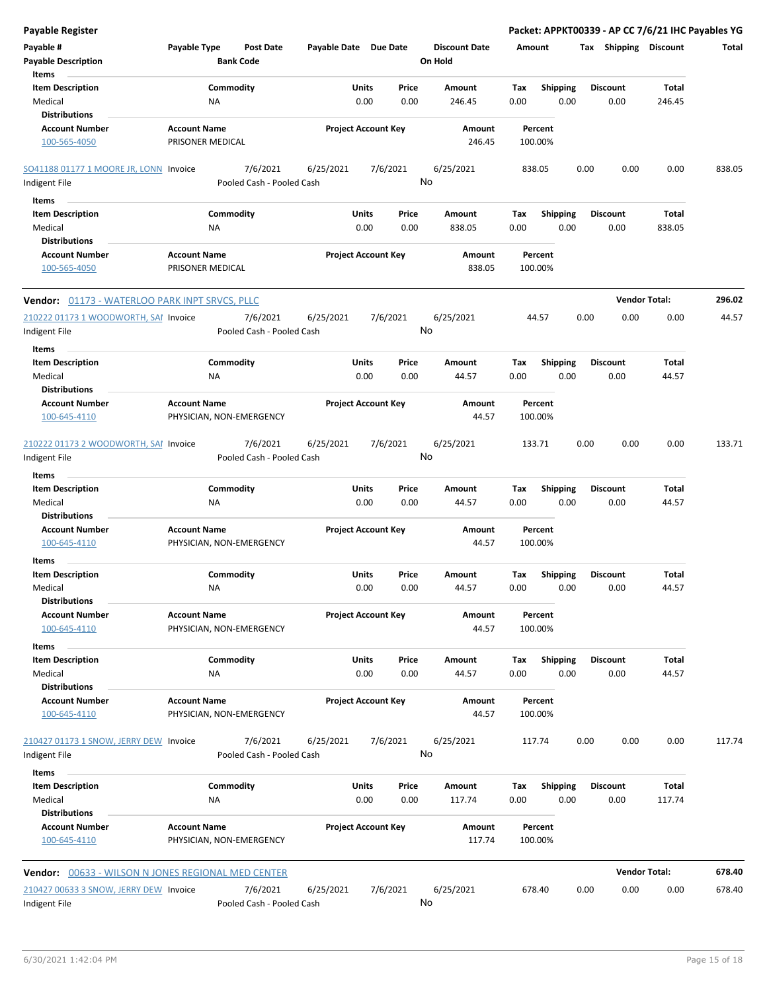| <b>Payable Register</b>                                   |                                                      |                       |                            |                                 |             |                         | Packet: APPKT00339 - AP CC 7/6/21 IHC Payables YG |                      |        |
|-----------------------------------------------------------|------------------------------------------------------|-----------------------|----------------------------|---------------------------------|-------------|-------------------------|---------------------------------------------------|----------------------|--------|
| Payable #<br><b>Payable Description</b>                   | Payable Type<br><b>Post Date</b><br><b>Bank Code</b> | Payable Date Due Date |                            | <b>Discount Date</b><br>On Hold | Amount      |                         | Tax Shipping Discount                             |                      | Total  |
| Items                                                     |                                                      |                       |                            |                                 |             |                         |                                                   |                      |        |
| <b>Item Description</b>                                   | Commodity                                            | Units                 | Price                      | Amount                          | Tax         | Shipping                | <b>Discount</b>                                   | <b>Total</b>         |        |
| Medical                                                   | NA                                                   | 0.00                  | 0.00                       | 246.45                          | 0.00        | 0.00                    | 0.00                                              | 246.45               |        |
| <b>Distributions</b>                                      |                                                      |                       |                            |                                 |             |                         |                                                   |                      |        |
| <b>Account Number</b>                                     | <b>Account Name</b>                                  |                       | <b>Project Account Key</b> | Amount                          |             | Percent                 |                                                   |                      |        |
| 100-565-4050                                              | PRISONER MEDICAL                                     |                       |                            | 246.45                          | 100.00%     |                         |                                                   |                      |        |
| SO41188 01177 1 MOORE JR, LONN Invoice                    | 7/6/2021                                             | 6/25/2021             | 7/6/2021                   | 6/25/2021                       | 838.05      |                         | 0.00<br>0.00                                      | 0.00                 | 838.05 |
| Indigent File                                             | Pooled Cash - Pooled Cash                            |                       |                            | No                              |             |                         |                                                   |                      |        |
| Items                                                     |                                                      |                       |                            |                                 |             |                         |                                                   |                      |        |
| <b>Item Description</b>                                   | Commodity                                            | Units                 | Price                      | Amount                          | Tax         | <b>Shipping</b>         | <b>Discount</b>                                   | Total                |        |
| Medical                                                   | ΝA                                                   | 0.00                  | 0.00                       | 838.05                          | 0.00        | 0.00                    | 0.00                                              | 838.05               |        |
| <b>Distributions</b>                                      |                                                      |                       |                            |                                 |             |                         |                                                   |                      |        |
| <b>Account Number</b>                                     | <b>Account Name</b>                                  |                       | <b>Project Account Key</b> | Amount                          |             | Percent                 |                                                   |                      |        |
| 100-565-4050                                              | PRISONER MEDICAL                                     |                       |                            | 838.05                          | 100.00%     |                         |                                                   |                      |        |
| Vendor: 01173 - WATERLOO PARK INPT SRVCS, PLLC            |                                                      |                       |                            |                                 |             |                         |                                                   | <b>Vendor Total:</b> | 296.02 |
| 210222 01173 1 WOODWORTH, SAI Invoice                     | 7/6/2021                                             | 6/25/2021             | 7/6/2021                   | 6/25/2021                       |             | 44.57                   | 0.00<br>0.00                                      | 0.00                 | 44.57  |
| Indigent File<br>Items                                    | Pooled Cash - Pooled Cash                            |                       |                            | No                              |             |                         |                                                   |                      |        |
| <b>Item Description</b>                                   | Commodity                                            | Units                 | Price                      | Amount                          | Tax         | <b>Shipping</b>         | <b>Discount</b>                                   | Total                |        |
| Medical                                                   | ΝA                                                   | 0.00                  | 0.00                       | 44.57                           | 0.00        | 0.00                    | 0.00                                              | 44.57                |        |
| <b>Distributions</b>                                      |                                                      |                       |                            |                                 |             |                         |                                                   |                      |        |
| <b>Account Number</b>                                     | <b>Account Name</b>                                  |                       | <b>Project Account Key</b> | Amount                          |             | Percent                 |                                                   |                      |        |
| 100-645-4110                                              | PHYSICIAN, NON-EMERGENCY                             |                       |                            | 44.57                           | 100.00%     |                         |                                                   |                      |        |
| 210222 01173 2 WOODWORTH, SAI Invoice<br>Indigent File    | 7/6/2021<br>Pooled Cash - Pooled Cash                | 6/25/2021             | 7/6/2021                   | 6/25/2021<br>No                 | 133.71      |                         | 0.00<br>0.00                                      | 0.00                 | 133.71 |
|                                                           |                                                      |                       |                            |                                 |             |                         |                                                   |                      |        |
| Items                                                     |                                                      |                       |                            |                                 |             |                         |                                                   |                      |        |
| <b>Item Description</b><br>Medical                        | Commodity<br>NA                                      | Units<br>0.00         | Price<br>0.00              | Amount<br>44.57                 | Tax<br>0.00 | <b>Shipping</b><br>0.00 | <b>Discount</b><br>0.00                           | Total<br>44.57       |        |
| <b>Distributions</b>                                      |                                                      |                       |                            |                                 |             |                         |                                                   |                      |        |
| <b>Account Number</b><br>100-645-4110                     | <b>Account Name</b><br>PHYSICIAN, NON-EMERGENCY      |                       | <b>Project Account Key</b> | Amount<br>44.57                 | 100.00%     | Percent                 |                                                   |                      |        |
| Items                                                     |                                                      |                       |                            |                                 |             |                         |                                                   |                      |        |
| <b>Item Description</b>                                   | Commodity                                            | Units                 | Price                      | Amount                          | Tax         | <b>Shipping</b>         | <b>Discount</b>                                   | Total                |        |
| Medical<br><b>Distributions</b>                           | <b>NA</b>                                            | 0.00                  | 0.00                       | 44.57                           | 0.00        | 0.00                    | 0.00                                              | 44.57                |        |
| <b>Account Number</b>                                     | <b>Account Name</b>                                  |                       | <b>Project Account Key</b> | Amount                          |             | Percent                 |                                                   |                      |        |
| 100-645-4110                                              | PHYSICIAN, NON-EMERGENCY                             |                       |                            | 44.57                           | 100.00%     |                         |                                                   |                      |        |
| Items                                                     |                                                      |                       |                            |                                 |             |                         |                                                   |                      |        |
| <b>Item Description</b>                                   | Commodity                                            | Units                 | Price                      | Amount                          | Tax         | <b>Shipping</b>         | <b>Discount</b>                                   | Total                |        |
| Medical                                                   | NA                                                   |                       | 0.00<br>0.00               | 44.57                           | 0.00        | 0.00                    | 0.00                                              | 44.57                |        |
| <b>Distributions</b>                                      |                                                      |                       |                            |                                 |             |                         |                                                   |                      |        |
| Account Number<br>100-645-4110                            | <b>Account Name</b><br>PHYSICIAN, NON-EMERGENCY      |                       | <b>Project Account Key</b> | Amount<br>44.57                 | 100.00%     | Percent                 |                                                   |                      |        |
| 210427 01173 1 SNOW, JERRY DEW Invoice                    | 7/6/2021                                             | 6/25/2021             | 7/6/2021                   | 6/25/2021                       | 117.74      |                         | 0.00<br>0.00                                      | 0.00                 | 117.74 |
| Indigent File                                             | Pooled Cash - Pooled Cash                            |                       |                            | No                              |             |                         |                                                   |                      |        |
| Items                                                     |                                                      |                       |                            |                                 |             |                         |                                                   |                      |        |
| <b>Item Description</b><br>Medical                        | Commodity<br>NA                                      | Units                 | Price<br>0.00<br>0.00      | Amount<br>117.74                | Tax<br>0.00 | <b>Shipping</b><br>0.00 | <b>Discount</b><br>0.00                           | Total<br>117.74      |        |
| <b>Distributions</b>                                      |                                                      |                       |                            |                                 |             |                         |                                                   |                      |        |
| <b>Account Number</b><br>100-645-4110                     | <b>Account Name</b><br>PHYSICIAN, NON-EMERGENCY      |                       | <b>Project Account Key</b> | Amount<br>117.74                | 100.00%     | Percent                 |                                                   |                      |        |
| <b>Vendor: 00633 - WILSON N JONES REGIONAL MED CENTER</b> |                                                      |                       |                            |                                 |             |                         |                                                   | <b>Vendor Total:</b> | 678.40 |
| 210427 00633 3 SNOW, JERRY DEW Invoice                    | 7/6/2021                                             | 6/25/2021             | 7/6/2021                   | 6/25/2021                       | 678.40      |                         | 0.00<br>0.00                                      | 0.00                 | 678.40 |
| Indigent File                                             | Pooled Cash - Pooled Cash                            |                       |                            | No                              |             |                         |                                                   |                      |        |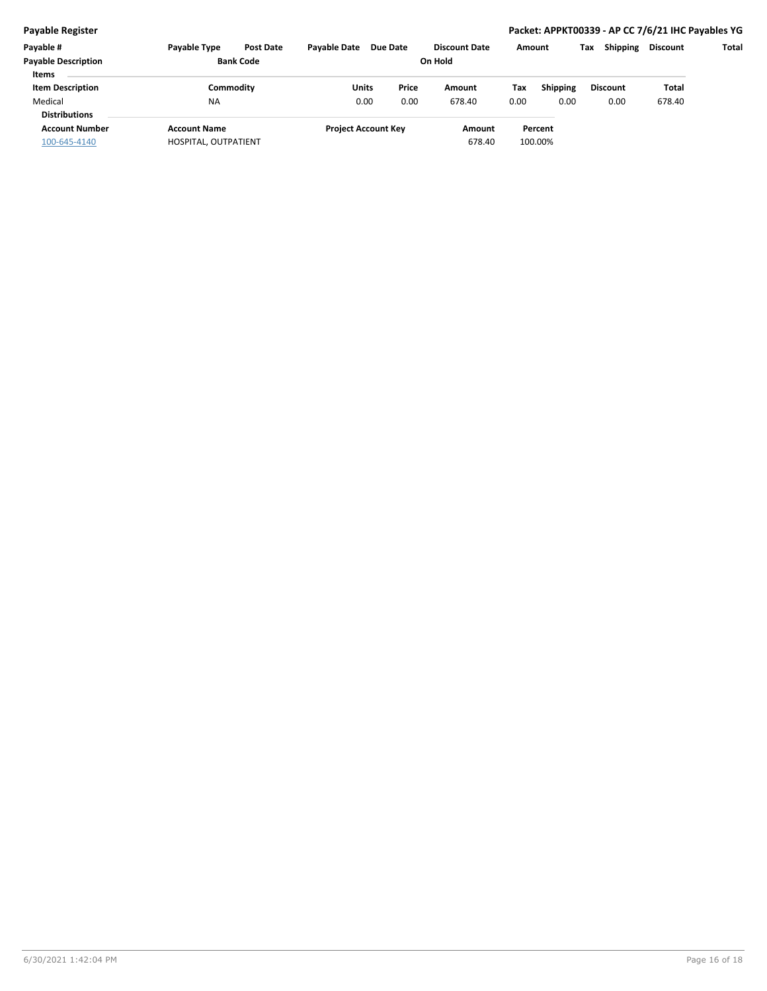| Payable #<br><b>Payable Description</b> | <b>Pavable Type</b>  | <b>Post Date</b><br><b>Bank Code</b> | <b>Pavable Date</b> | <b>Due Date</b>            | <b>Discount Date</b><br>On Hold |      | Amount          | <b>Shipping</b><br>Тах | <b>Discount</b> | Total |
|-----------------------------------------|----------------------|--------------------------------------|---------------------|----------------------------|---------------------------------|------|-----------------|------------------------|-----------------|-------|
| <b>Items</b>                            |                      |                                      |                     |                            |                                 |      |                 |                        |                 |       |
| <b>Item Description</b>                 | Commoditv            |                                      | Units               | Price                      | Amount                          | Tax  | <b>Shipping</b> | <b>Discount</b>        | Total           |       |
| Medical                                 | <b>NA</b>            |                                      | 0.00                | 0.00                       | 678.40                          | 0.00 | 0.00            | 0.00                   | 678.40          |       |
| <b>Distributions</b>                    |                      |                                      |                     |                            |                                 |      |                 |                        |                 |       |
| <b>Account Number</b>                   | <b>Account Name</b>  |                                      |                     | <b>Project Account Key</b> | Amount                          |      | Percent         |                        |                 |       |
| 100-645-4140                            | HOSPITAL, OUTPATIENT |                                      |                     |                            | 678.40                          |      | 100.00%         |                        |                 |       |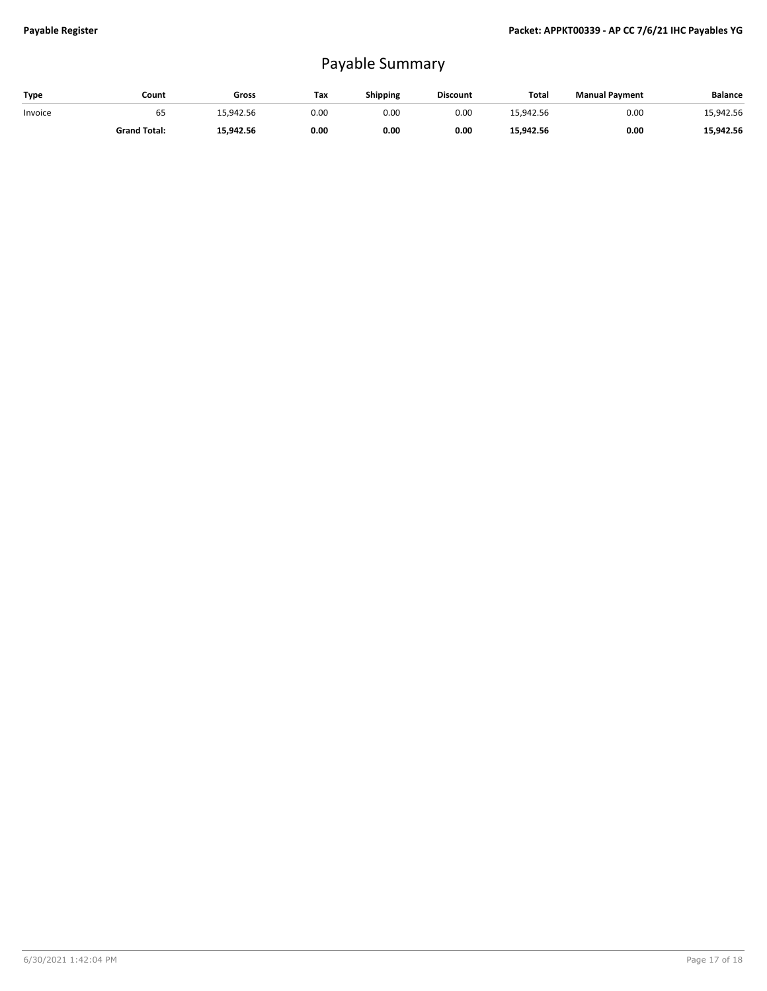## Payable Summary

| Type    | Count               | Gross     | Тах  | Shipping | <b>Discount</b> | Total     | <b>Manual Payment</b> | <b>Balance</b> |
|---------|---------------------|-----------|------|----------|-----------------|-----------|-----------------------|----------------|
| Invoice | ხჂ                  | 15.942.56 | 0.00 | 0.00     | 0.00            | 15.942.56 | 0.00                  | 15,942.56      |
|         | <b>Grand Total:</b> | 15.942.56 | 0.00 | 0.00     | 0.00            | 15.942.56 | 0.00                  | 15.942.56      |